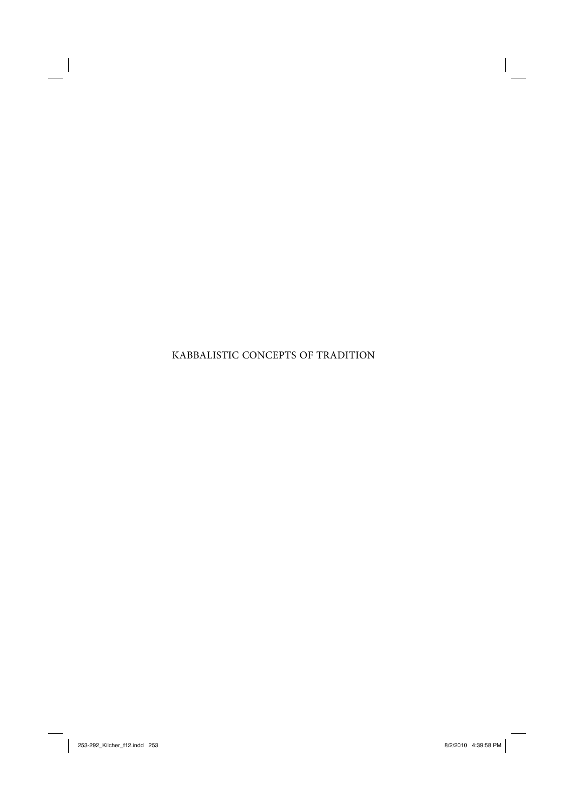KABBALISTIC CONCEPTS OF TRADITION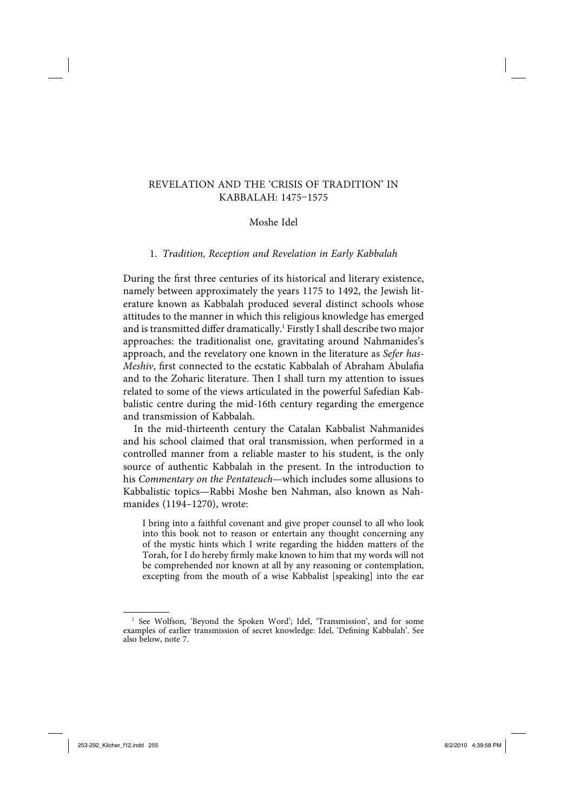# REVELATION AND THE 'CRISIS OF TRADITION' IN KABBALAH: 1475–1575

# Moshe Idel

#### 1. *Tradition, Reception and Revelation in Early Kabbalah*

During the first three centuries of its historical and literary existence, namely between approximately the years 1175 to 1492, the Jewish literature known as Kabbalah produced several distinct schools whose attitudes to the manner in which this religious knowledge has emerged and is transmitted differ dramatically.<sup>1</sup> Firstly I shall describe two major approaches: the traditionalist one, gravitating around Nahmanides's approach, and the revelatory one known in the literature as *Sefer has-Meshiv*, first connected to the ecstatic Kabbalah of Abraham Abulafia and to the Zoharic literature. Then I shall turn my attention to issues related to some of the views articulated in the powerful Safedian Kabbalistic centre during the mid-16th century regarding the emergence and transmission of Kabbalah.

In the mid-thirteenth century the Catalan Kabbalist Nahmanides and his school claimed that oral transmission, when performed in a controlled manner from a reliable master to his student, is the only source of authentic Kabbalah in the present. In the introduction to his *Commentary on the Pentateuch*—which includes some allusions to Kabbalistic topics—Rabbi Moshe ben Nahman, also known as Nahmanides (1194–1270), wrote:

I bring into a faithful covenant and give proper counsel to all who look into this book not to reason or entertain any thought concerning any of the mystic hints which I write regarding the hidden matters of the Torah, for I do hereby firmly make known to him that my words will not be comprehended nor known at all by any reasoning or contemplation, excepting from the mouth of a wise Kabbalist [speaking] into the ear

<sup>&</sup>lt;sup>1</sup> See Wolfson, 'Beyond the Spoken Word'; Idel, 'Transmission', and for some examples of earlier transmission of secret knowledge: Idel, 'Defining Kabbalah'. See also below, note 7.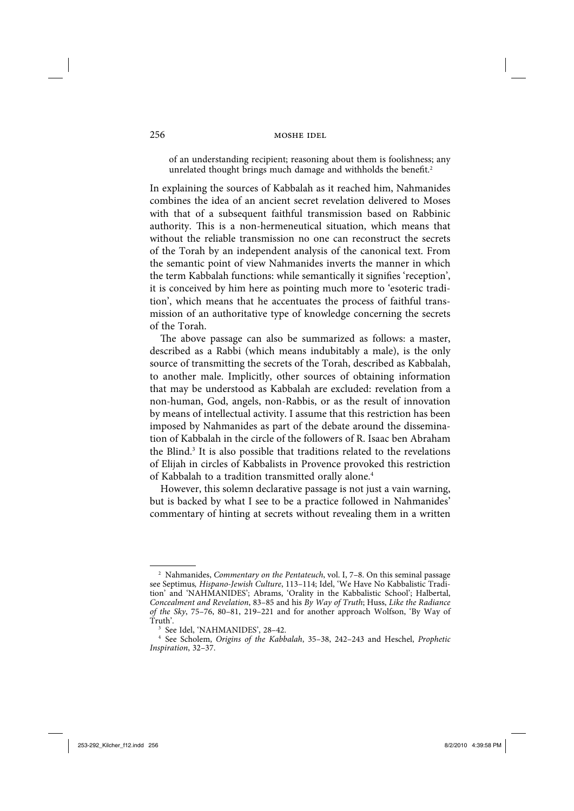of an understanding recipient; reasoning about them is foolishness; any unrelated thought brings much damage and withholds the benefit.<sup>2</sup>

In explaining the sources of Kabbalah as it reached him, Nahmanides combines the idea of an ancient secret revelation delivered to Moses with that of a subsequent faithful transmission based on Rabbinic authority. This is a non-hermeneutical situation, which means that without the reliable transmission no one can reconstruct the secrets of the Torah by an independent analysis of the canonical text. From the semantic point of view Nahmanides inverts the manner in which the term Kabbalah functions: while semantically it signifies 'reception', it is conceived by him here as pointing much more to 'esoteric tradition', which means that he accentuates the process of faithful transmission of an authoritative type of knowledge concerning the secrets of the Torah.

The above passage can also be summarized as follows: a master, described as a Rabbi (which means indubitably a male), is the only source of transmitting the secrets of the Torah, described as Kabbalah, to another male. Implicitly, other sources of obtaining information that may be understood as Kabbalah are excluded: revelation from a non-human, God, angels, non-Rabbis, or as the result of innovation by means of intellectual activity. I assume that this restriction has been imposed by Nahmanides as part of the debate around the dissemination of Kabbalah in the circle of the followers of R. Isaac ben Abraham the Blind.<sup>3</sup> It is also possible that traditions related to the revelations of Elijah in circles of Kabbalists in Provence provoked this restriction of Kabbalah to a tradition transmitted orally alone.<sup>4</sup>

However, this solemn declarative passage is not just a vain warning, but is backed by what I see to be a practice followed in Nahmanides' commentary of hinting at secrets without revealing them in a written

<sup>2</sup> Nahmanides, *Commentary on the Pentateuch*, vol. I, 7–8. On this seminal passage see Septimus*, Hispano-Jewish Culture*, 113–114; Idel, 'We Have No Kabbalistic Tradition' and 'NAHMANIDES'; Abrams, 'Orality in the Kabbalistic School'; Halbertal, *Concealment and Revelation*, 83–85 and his *By Way of Truth*; Huss, *Like the Radiance of the Sky*, 75–76, 80–81, 219–221 and for another approach Wolfson, 'By Way of Truth'. 3

<sup>&</sup>lt;sup>3</sup> See Idel, 'NAHMANIDES', 28-42.

<sup>4</sup> See Scholem, *Origins of the Kabbalah*, 35–38, 242–243 and Heschel, *Prophetic Inspiration*, 32–37.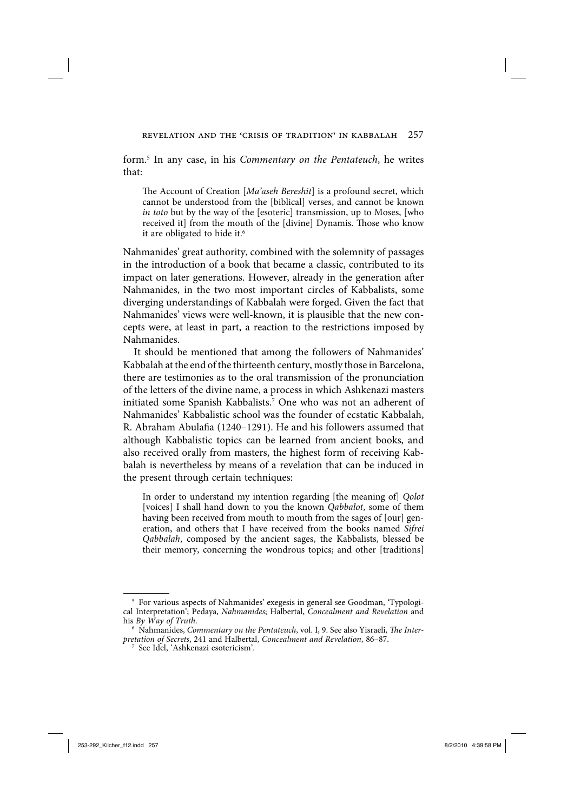form.5 In any case, in his *Commentary on the Pentateuch*, he writes that:

The Account of Creation [*Ma'aseh Bereshit*] is a profound secret, which cannot be understood from the [biblical] verses, and cannot be known *in toto* but by the way of the [esoteric] transmission, up to Moses, [who received it] from the mouth of the [divine] Dynamis. Those who know it are obligated to hide it.<sup>6</sup>

Nahmanides' great authority, combined with the solemnity of passages in the introduction of a book that became a classic, contributed to its impact on later generations. However, already in the generation after Nahmanides, in the two most important circles of Kabbalists, some diverging understandings of Kabbalah were forged. Given the fact that Nahmanides' views were well-known, it is plausible that the new concepts were, at least in part, a reaction to the restrictions imposed by Nahmanides.

It should be mentioned that among the followers of Nahmanides' Kabbalah at the end of the thirteenth century, mostly those in Barcelona, there are testimonies as to the oral transmission of the pronunciation of the letters of the divine name, a process in which Ashkenazi masters initiated some Spanish Kabbalists.<sup>7</sup> One who was not an adherent of Nahmanides' Kabbalistic school was the founder of ecstatic Kabbalah, R. Abraham Abulafia (1240–1291). He and his followers assumed that although Kabbalistic topics can be learned from ancient books, and also received orally from masters, the highest form of receiving Kabbalah is nevertheless by means of a revelation that can be induced in the present through certain techniques:

In order to understand my intention regarding [the meaning of] *Qolot* [voices] I shall hand down to you the known *Qabbalot*, some of them having been received from mouth to mouth from the sages of [our] generation, and others that I have received from the books named *Sifrei Qabbalah*, composed by the ancient sages, the Kabbalists, blessed be their memory, concerning the wondrous topics; and other [traditions]

<sup>&</sup>lt;sup>5</sup> For various aspects of Nahmanides' exegesis in general see Goodman, 'Typological Interpretation'; Pedaya, *Nahmanides*; Halbertal, *Concealment and Revelation* and his *By Way of Truth*.

<sup>6</sup> Nahmanides, *Commentary on the Pentateuch*, vol. I, 9. See also Yisraeli, *The Interpretation of Secrets*, 241 and Halbertal, *Concealment and Revelation*, 86–87.

<sup>7</sup> See Idel, 'Ashkenazi esotericism'.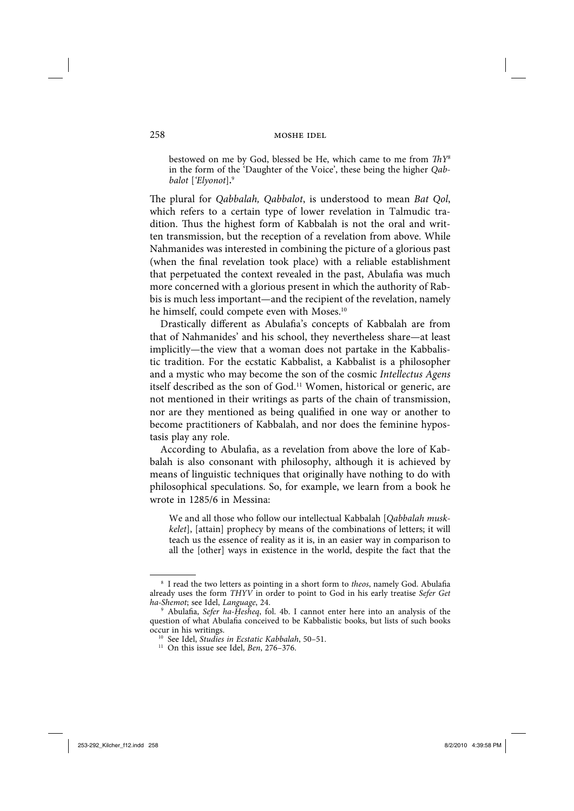#### 258 mosh blues mosh blues and mosh blues and mosh blues and mosh blues are not mosh blues and mosh blues and mosh blues and mosh blues and mosh blues and mosh blues are mosh blues and mosh blues are mosh blues and mosh blu

bestowed on me by God, blessed be He, which came to me from *ThY8* in the form of the 'Daughter of the Voice', these being the higher *Qabbalot* [*'Elyonot*]**.** 9

The plural for *Qabbalah, Qabbalot*, is understood to mean *Bat Qol*, which refers to a certain type of lower revelation in Talmudic tradition. Thus the highest form of Kabbalah is not the oral and written transmission, but the reception of a revelation from above. While Nahmanides was interested in combining the picture of a glorious past (when the final revelation took place) with a reliable establishment that perpetuated the context revealed in the past, Abulafia was much more concerned with a glorious present in which the authority of Rabbis is much less important—and the recipient of the revelation, namely he himself, could compete even with Moses.<sup>10</sup>

Drastically different as Abulafia's concepts of Kabbalah are from that of Nahmanides' and his school, they nevertheless share—at least implicitly—the view that a woman does not partake in the Kabbalistic tradition. For the ecstatic Kabbalist, a Kabbalist is a philosopher and a mystic who may become the son of the cosmic *Intellectus Agens* itself described as the son of God.<sup>11</sup> Women, historical or generic, are not mentioned in their writings as parts of the chain of transmission, nor are they mentioned as being qualified in one way or another to become practitioners of Kabbalah, and nor does the feminine hypostasis play any role.

According to Abulafia, as a revelation from above the lore of Kabbalah is also consonant with philosophy, although it is achieved by means of linguistic techniques that originally have nothing to do with philosophical speculations. So, for example, we learn from a book he wrote in 1285/6 in Messina:

We and all those who follow our intellectual Kabbalah [*Qabbalah muskkelet*], [attain] prophecy by means of the combinations of letters; it will teach us the essence of reality as it is, in an easier way in comparison to all the [other] ways in existence in the world, despite the fact that the

 <sup>8</sup> I read the two letters as pointing in a short form to *theos*, namely God. Abulafia already uses the form *THYV* in order to point to God in his early treatise *Sefer Get ha-Shemot*; see Idel, *Language*, 24. 9 Abulafia, *Sefer ha-H̠esheq*, fol. 4b. I cannot enter here into an analysis of the

question of what Abulafia conceived to be Kabbalistic books, but lists of such books occur in his writings.

<sup>10</sup> See Idel, *Studies in Ecstatic Kabbalah*, 50–51.

<sup>&</sup>lt;sup>11</sup> On this issue see Idel, *Ben*, 276-376.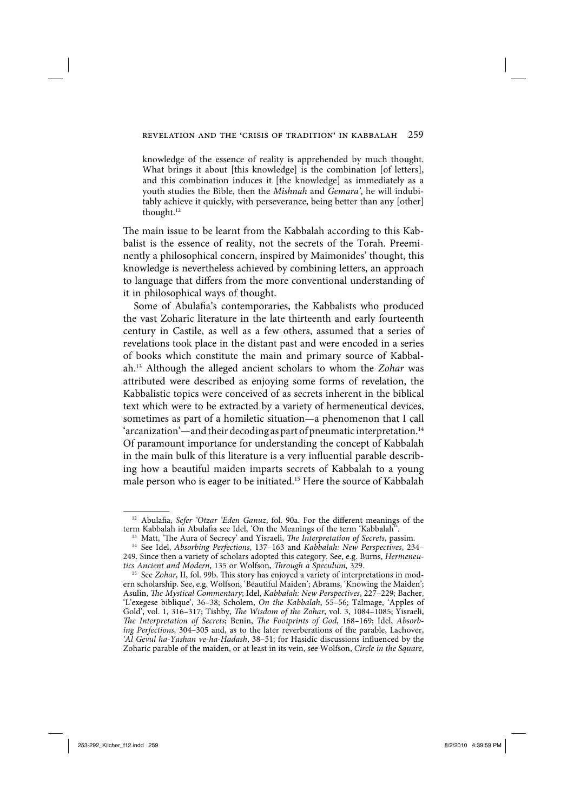knowledge of the essence of reality is apprehended by much thought. What brings it about [this knowledge] is the combination [of letters], and this combination induces it [the knowledge] as immediately as a youth studies the Bible, then the *Mishnah* and *Gemara'*, he will indubitably achieve it quickly, with perseverance, being better than any [other] thought.12

The main issue to be learnt from the Kabbalah according to this Kabbalist is the essence of reality, not the secrets of the Torah. Preeminently a philosophical concern, inspired by Maimonides' thought, this knowledge is nevertheless achieved by combining letters, an approach to language that differs from the more conventional understanding of it in philosophical ways of thought.

Some of Abulafia's contemporaries, the Kabbalists who produced the vast Zoharic literature in the late thirteenth and early fourteenth century in Castile, as well as a few others, assumed that a series of revelations took place in the distant past and were encoded in a series of books which constitute the main and primary source of Kabbalah.13 Although the alleged ancient scholars to whom the *Zohar* was attributed were described as enjoying some forms of revelation, the Kabbalistic topics were conceived of as secrets inherent in the biblical text which were to be extracted by a variety of hermeneutical devices, sometimes as part of a homiletic situation—a phenomenon that I call 'arcanization'—and their decoding as part of pneumatic interpretation.14 Of paramount importance for understanding the concept of Kabbalah in the main bulk of this literature is a very influential parable describing how a beautiful maiden imparts secrets of Kabbalah to a young male person who is eager to be initiated.<sup>15</sup> Here the source of Kabbalah

<sup>12</sup> Abulafia, *Sefer 'Otzar 'Eden Ganuz*, fol. 90a. For the different meanings of the term Kabbalah in Abulafia see Idel, 'On the Meanings of the term 'Kabbalah''.

<sup>13</sup> Matt, 'The Aura of Secrecy' and Yisraeli, *The Interpretation of Secrets*, passim.

<sup>14</sup> See Idel, *Absorbing Perfections*, 137–163 and *Kabbalah: New Perspectives*, 234– 249. Since then a variety of scholars adopted this category. See, e.g. Burns, *Hermeneu-*

<sup>&</sup>lt;sup>15</sup> See *Zohar*, II, fol. 99b. This story has enjoyed a variety of interpretations in modern scholarship. See, e.g. Wolfson, 'Beautiful Maiden'; Abrams, 'Knowing the Maiden'; Asulin, *The Mystical Commentary*; Idel, *Kabbalah: New Perspectives*, 227–229; Bacher, 'L'exegese biblique', 36–38; Scholem, *On the Kabbalah*, 55–56; Talmage, 'Apples of Gold', vol. 1, 316–317; Tishby, *The Wisdom of the Zohar*, vol. 3, 1084–1085; Yisraeli, *The Interpretation of Secrets*; Benin, *The Footprints of God*, 168–169; Idel, *Absorbing Perfections*, 304–305 and, as to the later reverberations of the parable, Lachover, *'Al Gevul ha-Yashan ve-ha-H̠adash*, 38–51; for Hasidic discussions influenced by the Zoharic parable of the maiden, or at least in its vein, see Wolfson, *Circle in the Square*,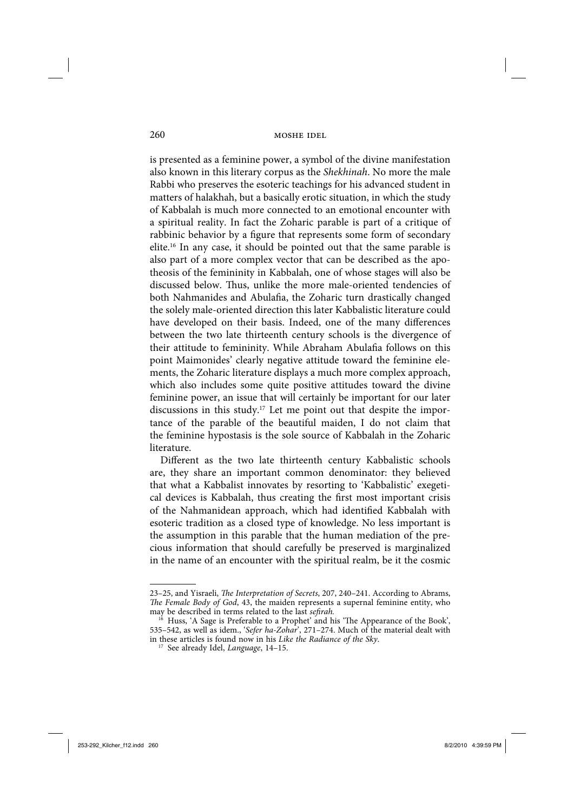is presented as a feminine power, a symbol of the divine manifestation also known in this literary corpus as the *Shekhinah*. No more the male Rabbi who preserves the esoteric teachings for his advanced student in matters of halakhah, but a basically erotic situation, in which the study of Kabbalah is much more connected to an emotional encounter with a spiritual reality. In fact the Zoharic parable is part of a critique of rabbinic behavior by a figure that represents some form of secondary elite.16 In any case, it should be pointed out that the same parable is also part of a more complex vector that can be described as the apotheosis of the femininity in Kabbalah, one of whose stages will also be discussed below. Thus, unlike the more male-oriented tendencies of both Nahmanides and Abulafia, the Zoharic turn drastically changed the solely male-oriented direction this later Kabbalistic literature could have developed on their basis. Indeed, one of the many differences between the two late thirteenth century schools is the divergence of their attitude to femininity. While Abraham Abulafia follows on this point Maimonides' clearly negative attitude toward the feminine elements, the Zoharic literature displays a much more complex approach, which also includes some quite positive attitudes toward the divine feminine power, an issue that will certainly be important for our later discussions in this study.17 Let me point out that despite the importance of the parable of the beautiful maiden, I do not claim that the feminine hypostasis is the sole source of Kabbalah in the Zoharic literature.

Different as the two late thirteenth century Kabbalistic schools are, they share an important common denominator: they believed that what a Kabbalist innovates by resorting to 'Kabbalistic' exegetical devices is Kabbalah, thus creating the first most important crisis of the Nahmanidean approach, which had identified Kabbalah with esoteric tradition as a closed type of knowledge. No less important is the assumption in this parable that the human mediation of the precious information that should carefully be preserved is marginalized in the name of an encounter with the spiritual realm, be it the cosmic

<sup>23–25,</sup> and Yisraeli, *The Interpretation of Secrets*, 207, 240–241. According to Abrams, *The Female Body of God*, 43, the maiden represents a supernal feminine entity, who may be described in terms related to the last *sefirah*.

Huss, 'A Sage is Preferable to a Prophet' and his 'The Appearance of the Book', 535–542, as well as idem., '*Sefer ha-Zohar*', 271–274. Much of the material dealt with in these articles is found now in his *Like the Radiance of the Sky*.

<sup>17</sup> See already Idel, *Language*, 14–15.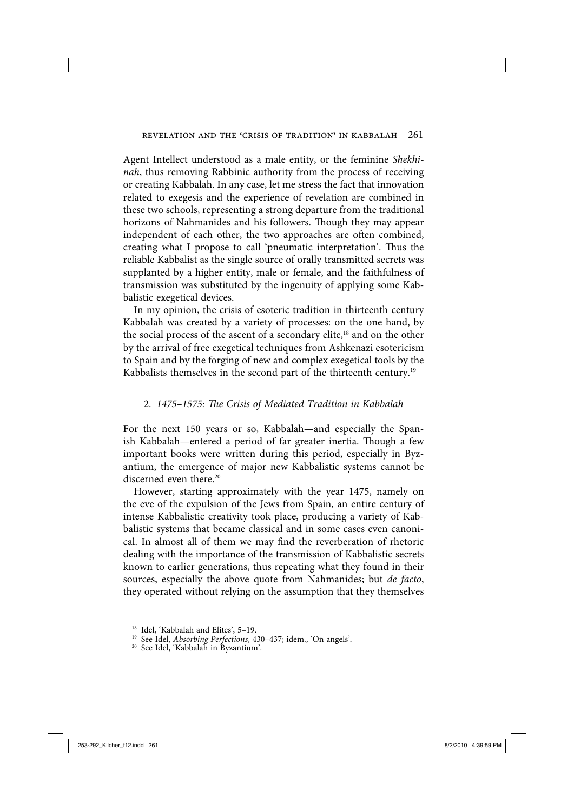Agent Intellect understood as a male entity, or the feminine *Shekhinah*, thus removing Rabbinic authority from the process of receiving or creating Kabbalah. In any case, let me stress the fact that innovation related to exegesis and the experience of revelation are combined in these two schools, representing a strong departure from the traditional horizons of Nahmanides and his followers. Though they may appear independent of each other, the two approaches are often combined, creating what I propose to call 'pneumatic interpretation'. Thus the reliable Kabbalist as the single source of orally transmitted secrets was supplanted by a higher entity, male or female, and the faithfulness of transmission was substituted by the ingenuity of applying some Kabbalistic exegetical devices.

In my opinion, the crisis of esoteric tradition in thirteenth century Kabbalah was created by a variety of processes: on the one hand, by the social process of the ascent of a secondary elite,<sup>18</sup> and on the other by the arrival of free exegetical techniques from Ashkenazi esotericism to Spain and by the forging of new and complex exegetical tools by the Kabbalists themselves in the second part of the thirteenth century.<sup>19</sup>

#### 2. *1475–1575: The Crisis of Mediated Tradition in Kabbalah*

For the next 150 years or so, Kabbalah—and especially the Spanish Kabbalah—entered a period of far greater inertia. Though a few important books were written during this period, especially in Byzantium, the emergence of major new Kabbalistic systems cannot be discerned even there.<sup>20</sup>

However, starting approximately with the year 1475, namely on the eve of the expulsion of the Jews from Spain, an entire century of intense Kabbalistic creativity took place, producing a variety of Kabbalistic systems that became classical and in some cases even canonical. In almost all of them we may find the reverberation of rhetoric dealing with the importance of the transmission of Kabbalistic secrets known to earlier generations, thus repeating what they found in their sources, especially the above quote from Nahmanides; but *de facto*, they operated without relying on the assumption that they themselves

<sup>18</sup> Idel, 'Kabbalah and Elites', 5–19.

<sup>19</sup> See Idel, *Absorbing Perfections*, 430–437; idem., 'On angels'.

<sup>20</sup> See Idel, 'Kabbalah in Byzantium'.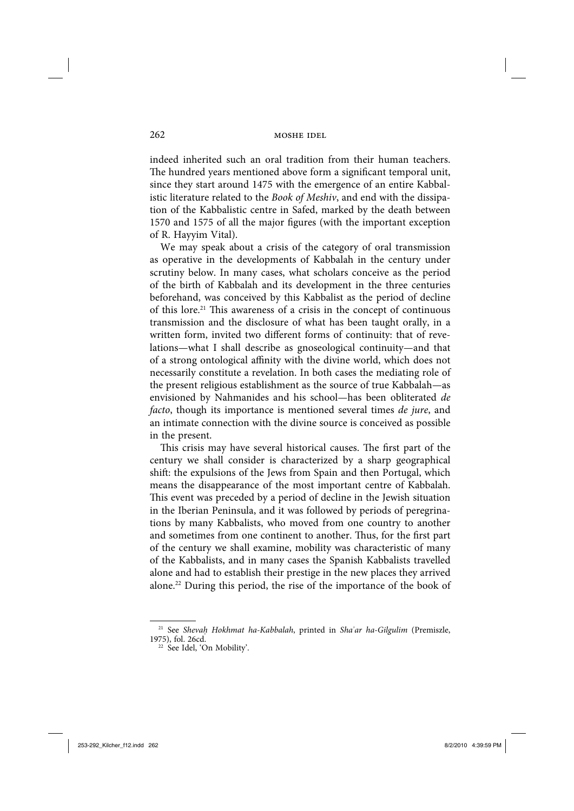# 262 MOSHE IDEL

indeed inherited such an oral tradition from their human teachers. The hundred years mentioned above form a significant temporal unit, since they start around 1475 with the emergence of an entire Kabbalistic literature related to the *Book of Meshiv*, and end with the dissipation of the Kabbalistic centre in Safed, marked by the death between 1570 and 1575 of all the major figures (with the important exception of R. Hayyim Vital).

We may speak about a crisis of the category of oral transmission as operative in the developments of Kabbalah in the century under scrutiny below. In many cases, what scholars conceive as the period of the birth of Kabbalah and its development in the three centuries beforehand, was conceived by this Kabbalist as the period of decline of this lore.21 This awareness of a crisis in the concept of continuous transmission and the disclosure of what has been taught orally, in a written form, invited two different forms of continuity: that of revelations—what I shall describe as gnoseological continuity—and that of a strong ontological affinity with the divine world, which does not necessarily constitute a revelation. In both cases the mediating role of the present religious establishment as the source of true Kabbalah—as envisioned by Nahmanides and his school—has been obliterated *de facto*, though its importance is mentioned several times *de jure*, and an intimate connection with the divine source is conceived as possible in the present.

This crisis may have several historical causes. The first part of the century we shall consider is characterized by a sharp geographical shift: the expulsions of the Jews from Spain and then Portugal, which means the disappearance of the most important centre of Kabbalah. This event was preceded by a period of decline in the Jewish situation in the Iberian Peninsula, and it was followed by periods of peregrinations by many Kabbalists, who moved from one country to another and sometimes from one continent to another. Thus, for the first part of the century we shall examine, mobility was characteristic of many of the Kabbalists, and in many cases the Spanish Kabbalists travelled alone and had to establish their prestige in the new places they arrived alone.22 During this period, the rise of the importance of the book of

<sup>21</sup> See *Shevah̠ Hokhmat ha-Kabbalah*, printed in *Shaʾar ha-Gilgulim* (Premiszle, 1975), fol. 26cd.

<sup>22</sup> See Idel, 'On Mobility'.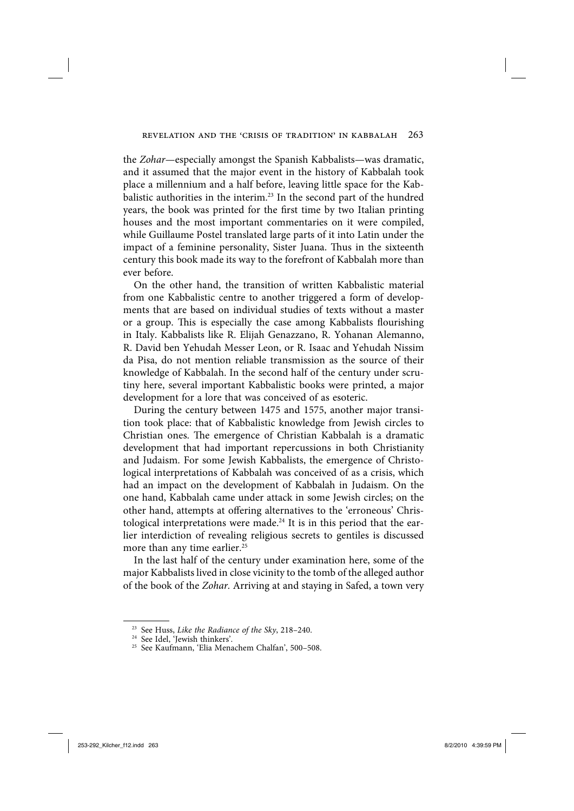the *Zohar*—especially amongst the Spanish Kabbalists—was dramatic, and it assumed that the major event in the history of Kabbalah took place a millennium and a half before, leaving little space for the Kabbalistic authorities in the interim.23 In the second part of the hundred years, the book was printed for the first time by two Italian printing houses and the most important commentaries on it were compiled, while Guillaume Postel translated large parts of it into Latin under the impact of a feminine personality, Sister Juana. Thus in the sixteenth century this book made its way to the forefront of Kabbalah more than ever before.

On the other hand, the transition of written Kabbalistic material from one Kabbalistic centre to another triggered a form of developments that are based on individual studies of texts without a master or a group. This is especially the case among Kabbalists flourishing in Italy. Kabbalists like R. Elijah Genazzano, R. Yohanan Alemanno, R. David ben Yehudah Messer Leon, or R. Isaac and Yehudah Nissim da Pisa, do not mention reliable transmission as the source of their knowledge of Kabbalah. In the second half of the century under scrutiny here, several important Kabbalistic books were printed, a major development for a lore that was conceived of as esoteric.

During the century between 1475 and 1575, another major transition took place: that of Kabbalistic knowledge from Jewish circles to Christian ones. The emergence of Christian Kabbalah is a dramatic development that had important repercussions in both Christianity and Judaism. For some Jewish Kabbalists, the emergence of Christological interpretations of Kabbalah was conceived of as a crisis, which had an impact on the development of Kabbalah in Judaism. On the one hand, Kabbalah came under attack in some Jewish circles; on the other hand, attempts at offering alternatives to the 'erroneous' Christological interpretations were made.<sup>24</sup> It is in this period that the earlier interdiction of revealing religious secrets to gentiles is discussed more than any time earlier.<sup>25</sup>

In the last half of the century under examination here, some of the major Kabbalists lived in close vicinity to the tomb of the alleged author of the book of the *Zohar.* Arriving at and staying in Safed, a town very

<sup>23</sup> See Huss, *Like the Radiance of the Sky*, 218–240.

<sup>24</sup> See Idel, 'Jewish thinkers'.

<sup>&</sup>lt;sup>25</sup> See Kaufmann, 'Elia Menachem Chalfan', 500–508.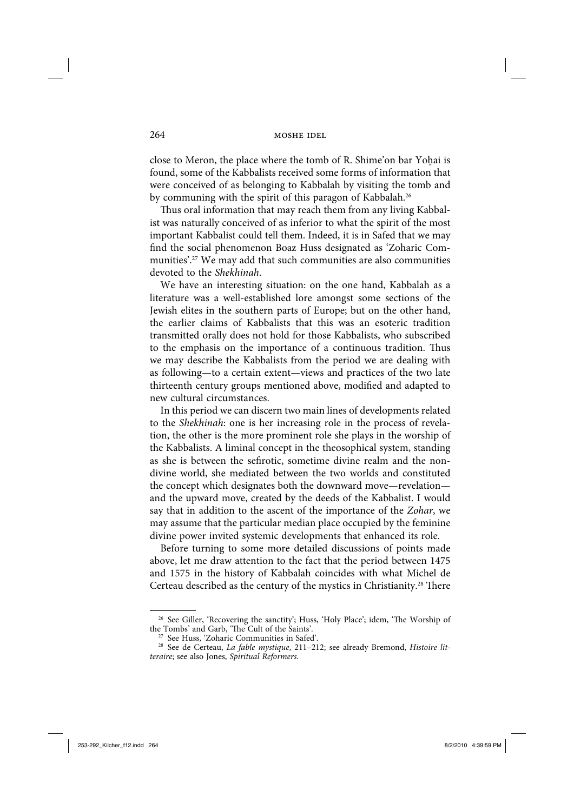close to Meron, the place where the tomb of R. Shime'on bar Yoh̠ai is found, some of the Kabbalists received some forms of information that were conceived of as belonging to Kabbalah by visiting the tomb and by communing with the spirit of this paragon of Kabbalah.<sup>26</sup>

Thus oral information that may reach them from any living Kabbalist was naturally conceived of as inferior to what the spirit of the most important Kabbalist could tell them. Indeed, it is in Safed that we may find the social phenomenon Boaz Huss designated as 'Zoharic Communities'.27 We may add that such communities are also communities devoted to the *Shekhinah*.

We have an interesting situation: on the one hand, Kabbalah as a literature was a well-established lore amongst some sections of the Jewish elites in the southern parts of Europe; but on the other hand, the earlier claims of Kabbalists that this was an esoteric tradition transmitted orally does not hold for those Kabbalists, who subscribed to the emphasis on the importance of a continuous tradition. Thus we may describe the Kabbalists from the period we are dealing with as following—to a certain extent—views and practices of the two late thirteenth century groups mentioned above, modified and adapted to new cultural circumstances.

In this period we can discern two main lines of developments related to the *Shekhinah*: one is her increasing role in the process of revelation, the other is the more prominent role she plays in the worship of the Kabbalists. A liminal concept in the theosophical system, standing as she is between the sefirotic, sometime divine realm and the nondivine world, she mediated between the two worlds and constituted the concept which designates both the downward move—revelation and the upward move, created by the deeds of the Kabbalist. I would say that in addition to the ascent of the importance of the *Zohar*, we may assume that the particular median place occupied by the feminine divine power invited systemic developments that enhanced its role.

Before turning to some more detailed discussions of points made above, let me draw attention to the fact that the period between 1475 and 1575 in the history of Kabbalah coincides with what Michel de Certeau described as the century of the mystics in Christianity.<sup>28</sup> There

 $^{26}$  See Giller, 'Recovering the sanctity'; Huss, 'Holy Place'; idem, 'The Worship of the Tombs' and Garb, 'The Cult of the Saints'.

See Huss, 'Zoharic Communities in Safed'.

<sup>28</sup> See de Certeau, *La fable mystique*, 211–212; see already Bremond, *Histoire litteraire*; see also Jones, *Spiritual Reformers*.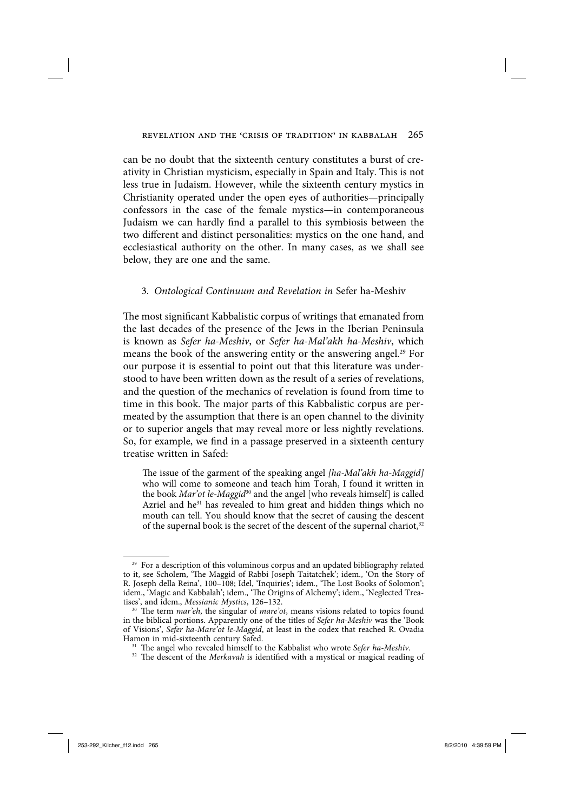can be no doubt that the sixteenth century constitutes a burst of creativity in Christian mysticism, especially in Spain and Italy. This is not less true in Judaism. However, while the sixteenth century mystics in Christianity operated under the open eyes of authorities—principally confessors in the case of the female mystics—in contemporaneous Judaism we can hardly find a parallel to this symbiosis between the two different and distinct personalities: mystics on the one hand, and ecclesiastical authority on the other. In many cases, as we shall see below, they are one and the same.

#### 3. *Ontological Continuum and Revelation in* Sefer ha-Meshiv

The most significant Kabbalistic corpus of writings that emanated from the last decades of the presence of the Jews in the Iberian Peninsula is known as *Sefer ha-Meshiv*, or *Sefer ha-Mal'akh ha-Meshiv*, which means the book of the answering entity or the answering angel.<sup>29</sup> For our purpose it is essential to point out that this literature was understood to have been written down as the result of a series of revelations, and the question of the mechanics of revelation is found from time to time in this book. The major parts of this Kabbalistic corpus are permeated by the assumption that there is an open channel to the divinity or to superior angels that may reveal more or less nightly revelations. So, for example, we find in a passage preserved in a sixteenth century treatise written in Safed:

The issue of the garment of the speaking angel *[ha-Mal'akh ha-Maggid]*  who will come to someone and teach him Torah, I found it written in the book *Mar'ot le-Maggid*<sup>30</sup> and the angel [who reveals himself] is called Azriel and  $he^{31}$  has revealed to him great and hidden things which no mouth can tell. You should know that the secret of causing the descent of the supernal book is the secret of the descent of the supernal chariot,<sup>32</sup>

<sup>&</sup>lt;sup>29</sup> For a description of this voluminous corpus and an updated bibliography related to it, see Scholem, 'The Maggid of Rabbi Joseph Taitatchek'; idem., 'On the Story of R. Joseph della Reina', 100–108; Idel, 'Inquiries'; idem., 'The Lost Books of Solomon'; idem., 'Magic and Kabbalah'; idem., 'The Origins of Alchemy'; idem., 'Neglected Trea-

tises', and idem., *Messianic Mystics*, 126–132.<br><sup>30</sup> The term *mar'eh*, the singular of *mare'ot*, means visions related to topics found in the biblical portions. Apparently one of the titles of *Sefer ha-Meshiv* was the 'Book of Visions', *Sefer ha-Mare'ot le-Maggid*, at least in the codex that reached R. Ovadia Hamon in mid-sixteenth century Safed.

<sup>&</sup>lt;sup>31</sup> The angel who revealed himself to the Kabbalist who wrote Sefer ha-Meshiv.

<sup>&</sup>lt;sup>32</sup> The descent of the *Merkavah* is identified with a mystical or magical reading of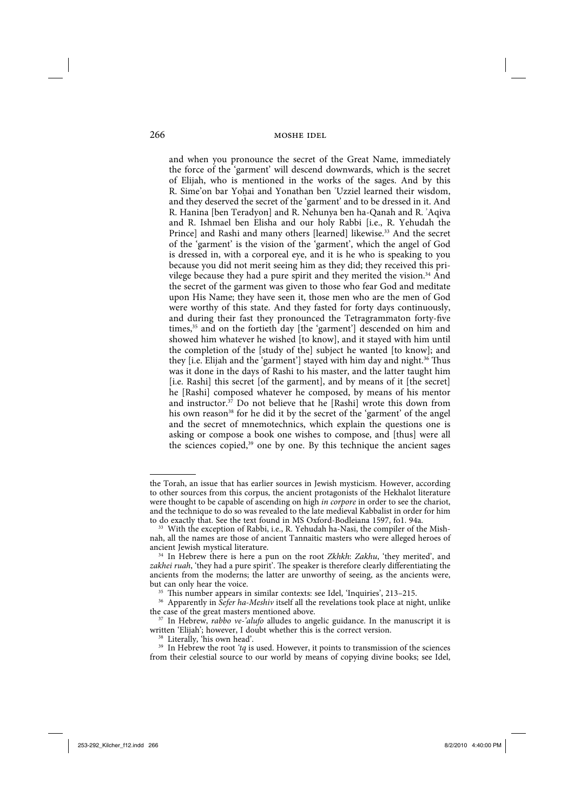and when you pronounce the secret of the Great Name, immediately the force of the 'garment' will descend down wards, which is the secret of Elijah, who is mentioned in the works of the sages. And by this R. Sime'on bar Yoh̠ai and Yonathan ben ʾUzziel learned their wisdom, and they deserved the secret of the 'garment' and to be dressed in it. And R. Hanina [ben Teradyon] and R. Nehunya ben ha-Qanah and R. 'Aqiva and R. Ishmael ben Elisha and our holy Rabbi [i.e., R. Yehudah the Prince] and Rashi and many others [learned] likewise.<sup>33</sup> And the secret of the 'garment' is the vision of the 'garment', which the angel of God is dressed in, with a corporeal eye, and it is he who is speaking to you because you did not merit seeing him as they did; they received this privilege because they had a pure spirit and they merited the vision.<sup>34</sup> And the secret of the garment was given to those who fear God and meditate upon His Name; they have seen it, those men who are the men of God were worthy of this state. And they fasted for forty days continuously, and during their fast they pronounced the Tetragrammaton forty-five times,<sup>35</sup> and on the fortieth day [the 'garment'] descended on him and showed him whatever he wished [to know], and it stayed with him until the completion of the [study of the] subject he wanted [to know]; and they [i.e. Elijah and the 'garment'] stayed with him day and night.<sup>36</sup> Thus was it done in the days of Rashi to his master, and the latter taught him [i.e. Rashi] this secret [of the garment], and by means of it [the secret] he [Rashi] composed whatever he composed, by means of his mentor and instructor.<sup>37</sup> Do not believe that he [Rashi] wrote this down from his own reason<sup>38</sup> for he did it by the secret of the 'garment' of the angel and the secret of mnemotechnics, which explain the questions one is asking or compose a book one wishes to compose, and [thus] were all the sciences copied, $39$  one by one. By this technique the ancient sages

the Torah, an issue that has earlier sources in Jewish mysticism. However, according to other sources from this corpus, the ancient protagonists of the Hekhalot literature were thought to be capable of ascending on high *in corpore* in order to see the chariot, and the technique to do so was revealed to the late medieval Kabbalist in order for him to do exactly that. See the text found in MS Oxford-Bodleiana 1597, fo1. 94a.

<sup>&</sup>lt;sup>33</sup> With the exception of Rabbi, i.e., R. Yehudah ha-Nasi, the compiler of the Mishnah, all the names are those of ancient Tannaitic masters who were alleged heroes of ancient Jewish mystical literature.

<sup>34</sup> In Hebrew there is here a pun on the root *Zkhkh*: *Zakhu*, 'they merited', and *zakhei ruah*, 'they had a pure spirit'. The speaker is therefore clearly differentiating the ancients from the moderns; the latter are unworthy of seeing, as the ancients were, but can only hear the voice.

This number appears in similar contexts: see Idel, 'Inquiries', 213-215.

<sup>36</sup> Apparently in *Sefer ha-Meshiv* itself all the revelations took place at night, unlike the case of the great masters mentioned above.<br><sup>37</sup> In Hebrew, rabbo ve *colute* alludge to apo

<sup>37</sup> In Hebrew, *rabbo ve-'alufo* alludes to angelic guidance. In the manuscript it is written 'Elijah'; however, I doubt whether this is the correct version.

<sup>38</sup> Literally, 'his own head'.

<sup>&</sup>lt;sup>39</sup> In Hebrew the root 'tq is used. However, it points to transmission of the sciences from their celestial source to our world by means of copying divine books; see Idel,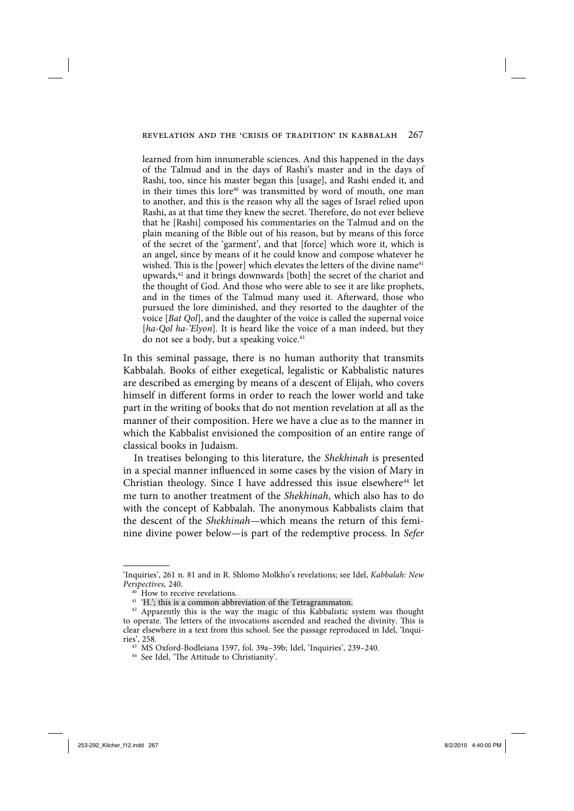learned from him innumerable sciences. And this happened in the days of the Talmud and in the days of Rashi's master and in the days of Rashi, too, since his master began this [usage], and Rashi ended it, and in their times this lore<sup>40</sup> was transmitted by word of mouth, one man to another, and this is the reason why all the sages of Israel relied upon Rashi, as at that time they knew the secret. Therefore, do not ever believe that he [Rashi] composed his commentaries on the Talmud and on the plain meaning of the Bible out of his reason, but by means of this force of the secret of the 'garment', and that [force] which wore it, which is an angel, since by means of it he could know and compose whatever he wished. This is the [power] which elevates the letters of the divine name<sup>41</sup> upwards,<sup>42</sup> and it brings downwards [both] the secret of the chariot and the thought of God. And those who were able to see it are like prophets, and in the times of the Talmud many used it. Afterward, those who pursued the lore diminished, and they resorted to the daughter of the voice [*Bat Qol*], and the daughter of the voice is called the supernal voice [ha-Qol ha-'Elyon]. It is heard like the voice of a man indeed, but they do not see a body, but a speaking voice.<sup>43</sup>

In this seminal passage, there is no human authority that transmits Kabbalah. Books of either exegetical, legalistic or Kabbalistic natures are described as emerging by means of a descent of Elijah, who covers himself in different forms in order to reach the lower world and take part in the writing of books that do not mention revelation at all as the manner of their composition. Here we have a clue as to the manner in which the Kabbalist envisioned the composition of an entire range of classical books in Judaism.

In treatises belonging to this literature, the *Shekhinah* is presented in a special manner influenced in some cases by the vision of Mary in Christian theology. Since I have addressed this issue elsewhere<sup>44</sup> let me turn to another treatment of the *Shekhinah*, which also has to do with the concept of Kabbalah. The anonymous Kabbalists claim that the descent of the *Shekhinah*—which means the return of this feminine divine power below—is part of the redemptive process. In *Sefer* 

<sup>&#</sup>x27;Inquiries', 261 n. 81 and in R. Shlomo Molkho's revelations; see Idel, *Kabbalah: New Perspectives*, 240.

How to receive revelations.

<sup>&</sup>lt;sup>41</sup> 'H.'; this is a common abbreviation of the Tetragrammaton.

<sup>&</sup>lt;sup>42</sup> Apparently this is the way the magic of this Kabbalistic system was thought to operate. The letters of the invocations ascended and reached the divinity. This is clear elsewhere in a text from this school. See the passage reproduced in Idel, 'Inquiries', 258.

<sup>43</sup> MS Oxford-Bodleiana 1597, fol. 39a–39b; Idel, 'Inquiries', 239–240.

<sup>44</sup> See Idel, 'The Attitude to Christianity'.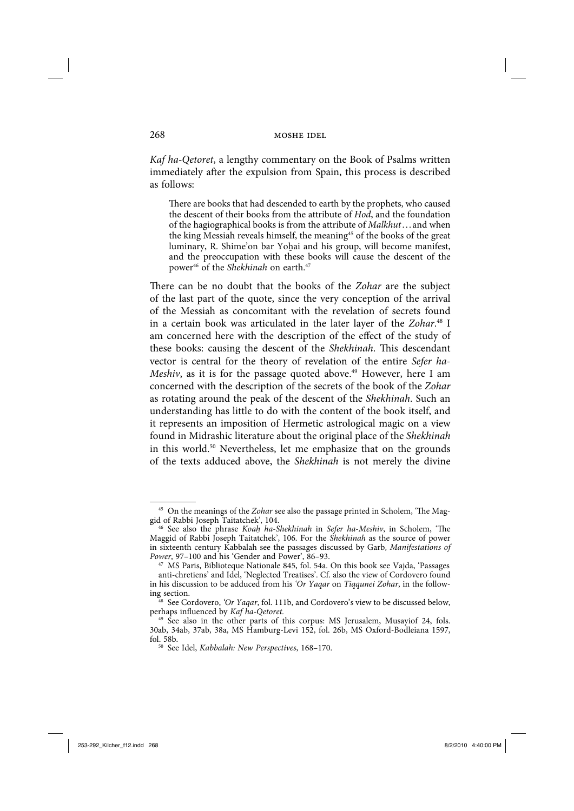*Kaf ha-Qetoret*, a lengthy commentary on the Book of Psalms written immediately after the expulsion from Spain, this process is described as follows:

There are books that had descended to earth by the prophets, who caused the descent of their books from the attribute of *Hod*, and the foundation of the hagiographical books is from the attribute of *Malkhut* . . . and when the king Messiah reveals himself, the meaning<sup>45</sup> of the books of the great luminary, R. Shime'on bar Yoh̠ai and his group, will become manifest, and the preoccupation with these books will cause the descent of the power<sup>46</sup> of the *Shekhinah* on earth.<sup>47</sup>

There can be no doubt that the books of the *Zohar* are the subject of the last part of the quote, since the very conception of the arrival of the Messiah as concomitant with the revelation of secrets found in a certain book was articulated in the later layer of the *Zohar*. 48 I am concerned here with the description of the effect of the study of these books: causing the descent of the *Shekhinah*. This descendant vector is central for the theory of revelation of the entire *Sefer ha*-*Meshiv*, as it is for the passage quoted above.<sup>49</sup> However, here I am concerned with the description of the secrets of the book of the *Zohar* as rotating around the peak of the descent of the *Shekhinah*. Such an understanding has little to do with the content of the book itself, and it represents an imposition of Hermetic astrological magic on a view found in Midrashic literature about the original place of the *Shekhinah* in this world.<sup>50</sup> Nevertheless, let me emphasize that on the grounds of the texts adduced above, the *Shekhinah* is not merely the divine

<sup>45</sup> On the meanings of the *Zohar* see also the passage printed in Scholem, 'The Maggid of Rabbi Joseph Taitatchek', 104.

<sup>46</sup> See also the phrase *Koah̠ ha-Shekhinah* in *Sefer ha-Meshiv*, in Scholem, 'The Maggid of Rabbi Joseph Taitatchek', 106. For the *Shekhinah* as the source of power in sixteenth century Kabbalah see the passages discussed by Garb, *Manifestations of Power*, 97–100 and his 'Gender and Power', 86–93.

<sup>47</sup> MS Paris, Biblioteque Nationale 845, fol. 54a. On this book see Vajda, 'Passages anti-chretiens' and Idel, 'Neglected Treatises'. Cf. also the view of Cordovero found in his discussion to be adduced from his *'Or Yaqar* on *Tiqqunei Zohar*, in the following section.

<sup>48</sup> See Cordovero, *'Or Yaqar*, fol. 111b, and Cordovero's view to be discussed below, perhaps influenced by *Kaf ha-Qetoret.* 

See also in the other parts of this corpus: MS Jerusalem, Musayiof 24, fols. 30ab, 34ab, 37ab, 38a, MS Hamburg-Levi 152, fol. 26b, MS Oxford-Bodleiana 1597, fol. 58b. 50 See Idel, *Kabbalah: New Perspectives*, 168–170.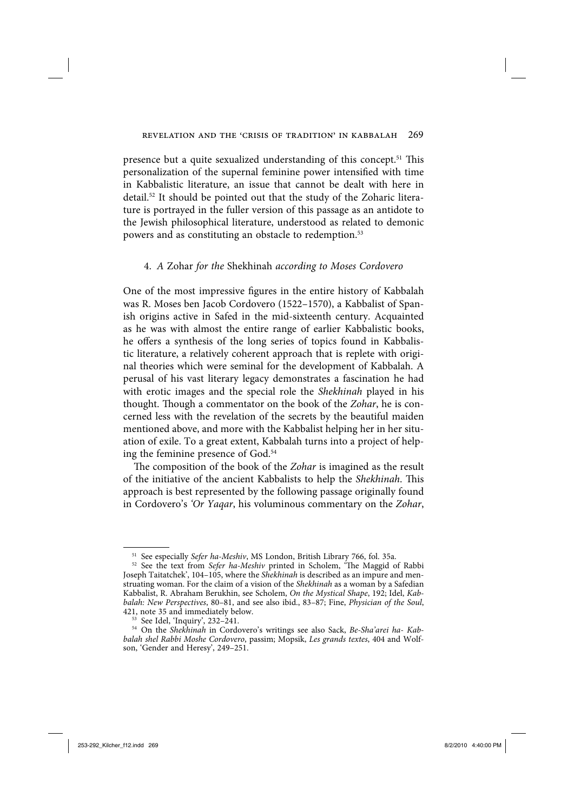presence but a quite sexualized understanding of this concept.<sup>51</sup> This personalization of the supernal feminine power intensified with time in Kabbalistic literature, an issue that cannot be dealt with here in detail.52 It should be pointed out that the study of the Zoharic literature is portrayed in the fuller version of this passage as an antidote to the Jewish philosophical literature, understood as related to demonic powers and as constituting an obstacle to redemption.53

#### 4. *A* Zohar *for the* Shekhinah *according to Moses Cordovero*

One of the most impressive figures in the entire history of Kabbalah was R. Moses ben Jacob Cordovero (1522–1570), a Kabbalist of Spanish origins active in Safed in the mid-sixteenth century. Acquainted as he was with almost the entire range of earlier Kabbalistic books, he offers a synthesis of the long series of topics found in Kabbalistic literature, a relatively coherent approach that is replete with original theories which were seminal for the development of Kabbalah. A perusal of his vast literary legacy demonstrates a fascination he had with erotic images and the special role the *Shekhinah* played in his thought. Though a commentator on the book of the *Zohar*, he is concerned less with the revelation of the secrets by the beautiful maiden mentioned above, and more with the Kabbalist helping her in her situation of exile. To a great extent, Kabbalah turns into a project of helping the feminine presence of God.<sup>54</sup>

The composition of the book of the *Zohar* is imagined as the result of the initiative of the ancient Kabbalists to help the *Shekhinah*. This approach is best represented by the following passage originally found in Cordovero's *'Or Yaqar*, his voluminous commentary on the *Zohar*,

<sup>51</sup> See especially *Sefer ha-Meshiv*, MS London, British Library 766, fol. 35a.

<sup>52</sup> See the text from *Sefer ha-Meshiv* printed in Scholem, 'The Maggid of Rabbi Joseph Taitatchek', 104–105, where the *Shekhinah* is described as an impure and menstruating woman. For the claim of a vision of the *Shekhinah* as a woman by a Safedian Kabbalist, R. Abraham Berukhin, see Scholem, *On the Mystical Shape*, 192; Idel, *Kabbalah: New Perspectives*, 80–81, and see also ibid., 83–87; Fine, *Physician of the Soul*, 421, note 35 and immediately below. 53 See Idel, 'Inquiry', 232–241.

<sup>54</sup> On the *Shekhinah* in Cordovero's writings see also Sack, *Be-Sha'arei ha- Kabbalah shel Rabbi Moshe Cordovero*, passim; Mopsik, *Les grands textes*, 404 and Wolfson, 'Gender and Heresy', 249–251.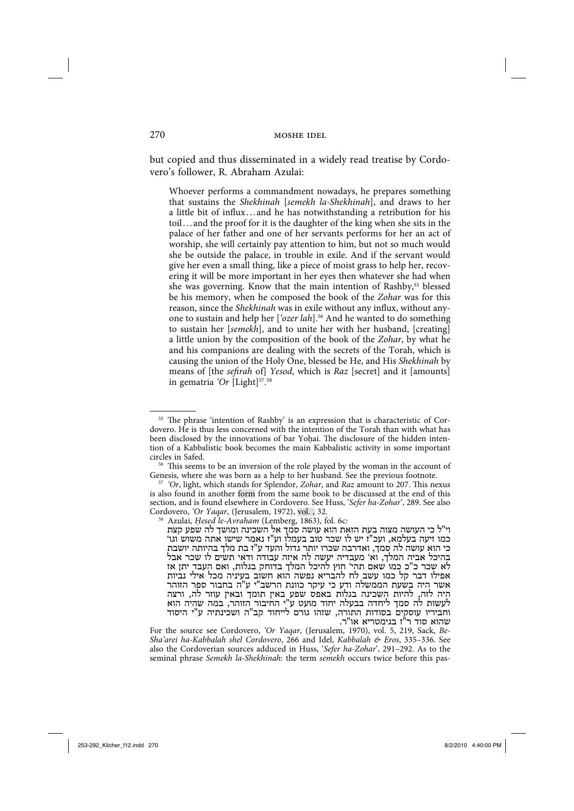but copied and thus disseminated in a widely read treatise by Cordovero's follower, R. Abraham Azulai:

Whoever performs a commandment nowadays, he prepares something that sustains the *Shekhinah* [*semekh la-Shekhinah*], and draws to her a little bit of influx...and he has notwithstanding a retribution for his toil . . . and the proof for it is the daughter of the king when she sits in the palace of her father and one of her servants performs for her an act of worship, she will certainly pay attention to him, but not so much would she be outside the palace, in trouble in exile. And if the servant would give her even a small thing, like a piece of moist grass to help her, recovering it will be more important in her eyes then whatever she had when she was governing. Know that the main intention of Rashby,<sup>55</sup> blessed be his memory, when he composed the book of the *Zohar* was for this reason, since the *Shekhinah* was in exile without any influx, without anyone to sustain and help her [*'ozer lah*].<sup>56</sup> And he wanted to do something to sustain her [*semekh*], and to unite her with her husband, [creating] a little union by the composition of the book of the *Zohar*, by what he and his companions are dealing with the secrets of the Torah, which is causing the union of the Holy One, blessed be He, and His *Shekhinah* by means of [the *sefirah* of] *Yesod*, which is *Raz* [secret] and it [amounts] in gematria 'Or [Light]<sup>57</sup>.<sup>58</sup>

<sup>&</sup>lt;sup>55</sup> The phrase 'intention of Rashby' is an expression that is characteristic of Cordovero. He is thus less concerned with the intention of the Torah than with what has been disclosed by the innovations of bar Yoh̠ai. The disclosure of the hidden intention of a Kabbalistic book becomes the main Kabbalistic activity in some important

This seems to be an inversion of the role played by the woman in the account of Genesis, where she was born as a help to her husband. See the previous footnote.

<sup>57</sup> *'Or*, light, which stands for Splendor, *Zohar*, and *Raz* amount to 207. This nexus is also found in another form from the same book to be discussed at the end of this section, and is found elsewhere in Cordovero. See Huss, '*Sefer ha-Zohar*', 289. See also Cordovero, *'Or Yaqar*, (Jerusalem, 1972), vol. , 32. 58 Azulai, *H̠esed le-Avraham* (Lemberg, 1863), fol. 6c*:*

וי"ל כי העושה מצוה בעת הזאת הוא עושה סמך אל השכינה ומושך לה שפע קצת<br>כמו זיעה בעלמא, ועכ"ז יש לו שכר טוב בעמלו וע"ז נאמר שישו אתה משוש וגו' כי הוא עושה לה סמך, ואדרבה שכרו יותר גדול והעד ע"ז בת מלך בהיותה יושבת בהיכל אביה המלך, וא' מעבדיה יעשה לה איזה עבודה ודאי תשים לו שכר אבל לא שכר כ"כ כמו שאם תהי' חוץ להיכל המלך בדוחק בגלות, ואם העבד יתן אז אפילו דבר קל כמו עשב לח להבריא נפשה הוא חשוב בעיניה מכל אילי נביות אשר היה בשעת הממשלה ודע כי עיקר כוונת הרשב"י ע"ה בחבור ספר הזוהר היה לזה, להיות השכינה בגלות באפס שפע באין תומך ובאין עוזר לה, ורצה לעשות לה סמך ליחדה בבעלה יחוד מועט ע"י החיבור הזוהר, במה שהיה הוא וחביריו עוסקים בסודות התורה, שזהו גורם לייחוד קב"ה ושכינתיה ע"י היסוד<br>שהוא סוד ר"ז בגימטריא או"ר.

For the source see Cordovero, *'Or Yaqar*, (Jerusalem, 1970), vol. 5, 219, Sack, *Be-Sha'arei ha-Kabbalah shel Cordovero*, 266 and Idel, *Kabbalah & Eros*, 335–336. See also the Cordoverian sources adduced in Huss, '*Sefer ha-Zohar*', 291–292. As to the seminal phrase *Semekh la-Shekhinah*: the term *semekh* occurs twice before this pas-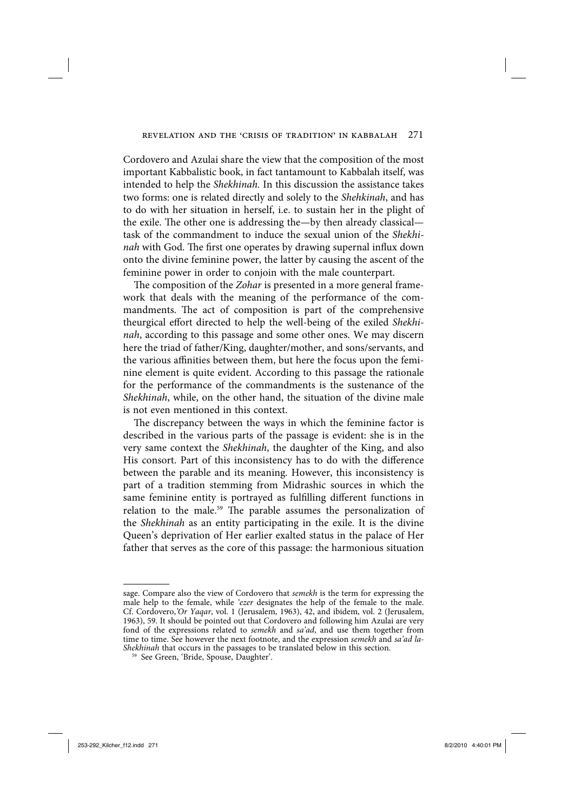Cordovero and Azulai share the view that the composition of the most important Kabbalistic book, in fact tantamount to Kabbalah itself, was intended to help the *Shekhinah.* In this discussion the assistance takes two forms: one is related directly and solely to the *Shehkinah*, and has to do with her situation in herself, i.e. to sustain her in the plight of the exile. The other one is addressing the—by then already classical task of the commandment to induce the sexual union of the *Shekhinah* with God. The first one operates by drawing supernal influx down onto the divine feminine power, the latter by causing the ascent of the feminine power in order to conjoin with the male counterpart.

The composition of the *Zohar* is presented in a more general framework that deals with the meaning of the performance of the commandments. The act of composition is part of the comprehensive theurgical effort directed to help the well-being of the exiled *Shekhinah*, according to this passage and some other ones. We may discern here the triad of father/King, daughter/mother, and sons/servants, and the various affinities between them, but here the focus upon the feminine element is quite evident. According to this passage the rationale for the performance of the commandments is the sustenance of the *Shekhinah*, while, on the other hand, the situation of the divine male is not even mentioned in this context.

The discrepancy between the ways in which the feminine factor is described in the various parts of the passage is evident: she is in the very same context the *Shekhinah*, the daughter of the King, and also His consort. Part of this inconsistency has to do with the difference between the parable and its meaning. However, this inconsistency is part of a tradition stemming from Midrashic sources in which the same feminine entity is portrayed as fulfilling different functions in relation to the male.59 The parable assumes the personalization of the *Shekhinah* as an entity participating in the exile. It is the divine Queen's deprivation of Her earlier exalted status in the palace of Her father that serves as the core of this passage: the harmonious situation

253-292\_Kilcher\_f12.indd 271 53-292\_Kilcher\_f12.indd 8/2/2010 4:40:01 PM /2/2010

sage. Compare also the view of Cordovero that *semekh* is the term for expressing the male help to the female, while 'ezer designates the help of the female to the male. Cf. Cordovero,*'Or Yaqar*, vol. 1 (Jerusalem, 1963), 42, and ibidem, vol. 2 (Jerusalem, 1963), 59. It should be pointed out that Cordovero and following him Azulai are very fond of the expressions related to *semekh* and *sa'ad*, and use them together from time to time. See however the next footnote, and the expression *semekh* and *sa'ad la-Shekhinah* that occurs in the passages to be translated below in this section.

<sup>59</sup> See Green, 'Bride, Spouse, Daughter'.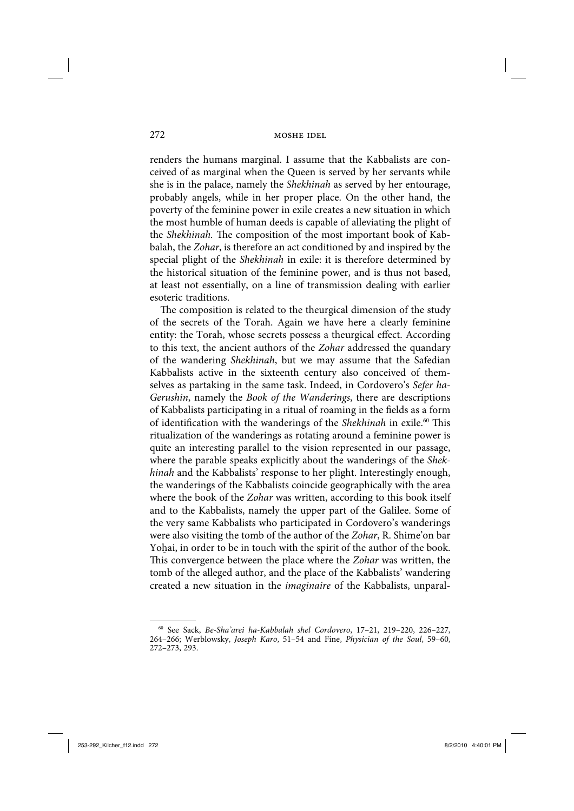## 272 MOSHE IDEL

renders the humans marginal. I assume that the Kabbalists are conceived of as marginal when the Queen is served by her servants while she is in the palace, namely the *Shekhinah* as served by her entourage, probably angels, while in her proper place. On the other hand, the poverty of the feminine power in exile creates a new situation in which the most humble of human deeds is capable of alleviating the plight of the *Shekhinah.* The composition of the most important book of Kabbalah, the *Zohar*, is therefore an act conditioned by and inspired by the special plight of the *Shekhinah* in exile: it is therefore determined by the historical situation of the feminine power, and is thus not based, at least not essentially, on a line of transmission dealing with earlier esoteric traditions.

The composition is related to the theurgical dimension of the study of the secrets of the Torah. Again we have here a clearly feminine entity: the Torah, whose secrets possess a theurgical effect. According to this text, the ancient authors of the *Zohar* addressed the quandary of the wandering *Shekhinah*, but we may assume that the Safedian Kabbalists active in the sixteenth century also conceived of themselves as partaking in the same task. Indeed, in Cordovero's *Sefer ha-Gerushin*, namely the *Book of the Wanderings*, there are descriptions of Kabbalists participating in a ritual of roaming in the fields as a form of identification with the wanderings of the *Shekhinah* in exile.<sup>60</sup> This ritualization of the wanderings as rotating around a feminine power is quite an interesting parallel to the vision represented in our passage, where the parable speaks explicitly about the wanderings of the *Shekhinah* and the Kabbalists' response to her plight. Interestingly enough, the wanderings of the Kabbalists coincide geographically with the area where the book of the *Zohar* was written, according to this book itself and to the Kabbalists, namely the upper part of the Galilee. Some of the very same Kabbalists who participated in Cordovero's wanderings were also visiting the tomb of the author of the *Zohar*, R. Shime'on bar Yohai, in order to be in touch with the spirit of the author of the book. This convergence between the place where the *Zohar* was written, the tomb of the alleged author, and the place of the Kabbalists' wandering created a new situation in the *imaginaire* of the Kabbalists, unparal-

<sup>60</sup> See Sack, *Be-Sha'arei ha-Kabbalah shel Cordovero*, 17–21, 219–220, 226–227, 264–266; Werblowsky, *Joseph Karo*, 51–54 and Fine, *Physician of the Soul*, 59–60, 272–273, 293.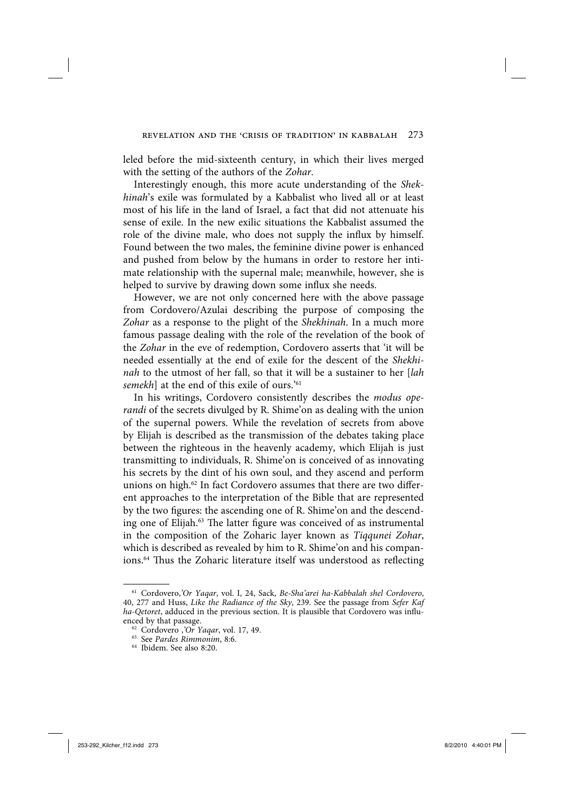leled before the mid-sixteenth century, in which their lives merged with the setting of the authors of the *Zohar*.

Interestingly enough, this more acute understanding of the *Shekhinah*'s exile was formulated by a Kabbalist who lived all or at least most of his life in the land of Israel, a fact that did not attenuate his sense of exile. In the new exilic situations the Kabbalist assumed the role of the divine male, who does not supply the influx by himself. Found between the two males, the feminine divine power is enhanced and pushed from below by the humans in order to restore her intimate relationship with the supernal male; meanwhile, however, she is helped to survive by drawing down some influx she needs.

However, we are not only concerned here with the above passage from Cordovero/Azulai describing the purpose of composing the *Zohar* as a response to the plight of the *Shekhinah*. In a much more famous passage dealing with the role of the revelation of the book of the *Zohar* in the eve of redemption, Cordovero asserts that 'it will be needed essentially at the end of exile for the descent of the *Shekhinah* to the utmost of her fall, so that it will be a sustainer to her [*lah semekh*] at the end of this exile of ours.<sup>'61</sup>

In his writings, Cordovero consistently describes the *modus operandi* of the secrets divulged by R. Shime'on as dealing with the union of the supernal powers. While the revelation of secrets from above by Elijah is described as the transmission of the debates taking place between the righteous in the heavenly academy, which Elijah is just transmitting to individuals, R. Shime'on is conceived of as innovating his secrets by the dint of his own soul, and they ascend and perform unions on high.<sup>62</sup> In fact Cordovero assumes that there are two different approaches to the interpretation of the Bible that are represented by the two figures: the ascending one of R. Shime'on and the descending one of Elijah.<sup>63</sup> The latter figure was conceived of as instrumental in the composition of the Zoharic layer known as *Tiqqunei Zohar*, which is described as revealed by him to R. Shime'on and his companions.<sup>64</sup> Thus the Zoharic literature itself was understood as reflecting

<sup>61</sup> Cordovero,*'Or Yaqar*, vol. I, 24, Sack, *Be-Sha'arei ha-Kabbalah shel Cordovero*, 40, 277 and Huss, *Like the Radiance of the Sky*, 239. See the passage from *Sefer Kaf ha-Qetoret*, adduced in the previous section. It is plausible that Cordovero was influenced by that passage.

<sup>62</sup> Cordovero ,*'Or Yaqar*, vol. 17, 49.

<sup>63</sup> See *Pardes Rimmonim*, 8:6.

<sup>64</sup> Ibidem. See also 8:20.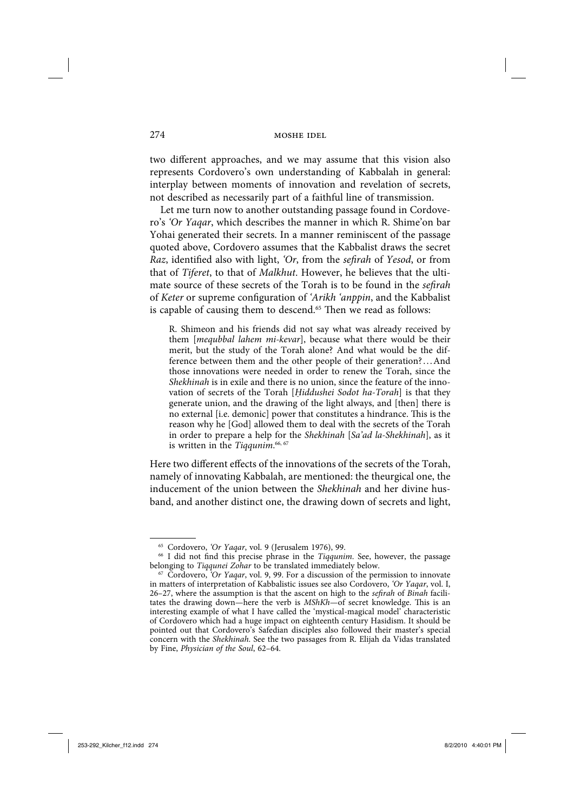## 274 mosh e libert

two different approaches, and we may assume that this vision also represents Cordovero's own understanding of Kabbalah in general: interplay between moments of innovation and revelation of secrets, not described as necessarily part of a faithful line of transmission.

Let me turn now to another outstanding passage found in Cordovero's *'Or Yaqar*, which describes the manner in which R. Shime'on bar Yohai generated their secrets. In a manner reminiscent of the passage quoted above, Cordovero assumes that the Kabbalist draws the secret *Raz*, identified also with light, *'Or*, from the *sefirah* of *Yesod*, or from that of *Tiferet*, to that of *Malkhut*. However, he believes that the ultimate source of these secrets of the Torah is to be found in the *sefirah*  of *Keter* or supreme configuration of *'Arikh 'anppin*, and the Kabbalist is capable of causing them to descend.<sup>65</sup> Then we read as follows:

R. Shimeon and his friends did not say what was already received by them [*mequbbal lahem mi-kevar*], because what there would be their merit, but the study of the Torah alone? And what would be the difference between them and the other people of their generation?...And those innovations were needed in order to renew the Torah, since the *Shekhinah* is in exile and there is no union, since the feature of the innovation of secrets of the Torah [*H̠iddushei Sodot ha-Torah*] is that they generate union, and the drawing of the light always, and [then] there is no external [i.e. demonic] power that constitutes a hindrance. This is the reason why he [God] allowed them to deal with the secrets of the Torah in order to prepare a help for the *Shekhinah* [*Sa'ad la-Shekhinah*], as it is written in the *Tiqqunim*. 66, 67

Here two different effects of the innovations of the secrets of the Torah, namely of innovating Kabbalah, are mentioned: the theurgical one, the inducement of the union between the *Shekhinah* and her divine husband, and another distinct one, the drawing down of secrets and light,

<sup>65</sup> Cordovero, *'Or Yaqar*, vol. 9 (Jerusalem 1976), 99.

<sup>66</sup> I did not find this precise phrase in the *Tiqqunim*. See, however, the passage belonging to *Tiqqunei Zohar* to be translated immediately below.

<sup>67</sup> Cordovero, *'Or Yaqar*, vol. 9, 99. For a discussion of the permission to innovate in matters of interpretation of Kabbalistic issues see also Cordovero, *'Or Yaqar*, vol. I, 26–27, where the assumption is that the ascent on high to the *sefirah* of *Binah* facilitates the drawing down—here the verb is *MShKh*—of secret knowledge. This is an interesting example of what I have called the 'mystical-magical model' characteristic of Cordovero which had a huge impact on eighteenth century Hasidism. It should be pointed out that Cordovero's Safedian disciples also followed their master's special concern with the *Shekhinah*. See the two passages from R. Elijah da Vidas translated by Fine, *Physician of the Soul*, 62–64.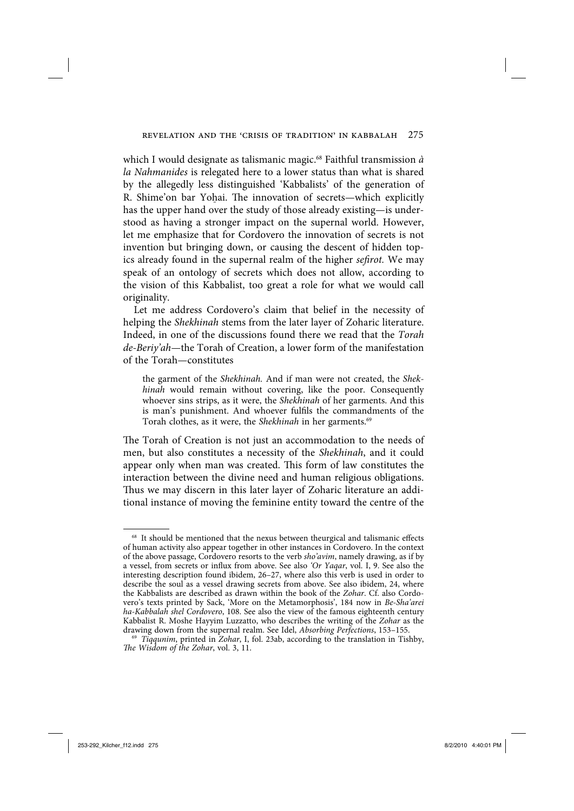which I would designate as talismanic magic.<sup>68</sup> Faithful transmission *à la Nahmanides* is relegated here to a lower status than what is shared by the allegedly less distinguished 'Kabbalists' of the generation of R. Shime'on bar Yoh̠ai. The innovation of secrets—which explicitly has the upper hand over the study of those already existing—is understood as having a stronger impact on the supernal world. However, let me emphasize that for Cordovero the innovation of secrets is not invention but bringing down, or causing the descent of hidden topics already found in the supernal realm of the higher *sefirot.* We may speak of an ontology of secrets which does not allow, according to the vision of this Kabbalist, too great a role for what we would call originality.

Let me address Cordovero's claim that belief in the necessity of helping the *Shekhinah* stems from the later layer of Zoharic literature. Indeed, in one of the discussions found there we read that the *Torah de-Beriy'ah*—the Torah of Creation, a lower form of the manifestation of the Torah—constitutes

the garment of the *Shekhinah.* And if man were not created, the *Shekhinah* would remain without covering, like the poor. Consequently whoever sins strips, as it were, the *Shekhinah* of her garments. And this is man's punishment. And whoever fulfils the commandments of the Torah clothes, as it were, the *Shekhinah* in her garments.<sup>69</sup>

The Torah of Creation is not just an accommodation to the needs of men, but also constitutes a necessity of the *Shekhinah*, and it could appear only when man was created. This form of law constitutes the interaction between the divine need and human religious obligations. Thus we may discern in this later layer of Zoharic literature an additional instance of moving the feminine entity toward the centre of the

<sup>&</sup>lt;sup>68</sup> It should be mentioned that the nexus between theurgical and talismanic effects of human activity also appear together in other instances in Cordovero. In the context of the above passage, Cordovero resorts to the verb *sho'avim*, namely drawing, as if by a vessel, from secrets or influx from above. See also *'Or Yaqar*, vol. I, 9. See also the interesting description found ibidem, 26–27, where also this verb is used in order to describe the soul as a vessel drawing secrets from above. See also ibidem, 24, where the Kabbalists are described as drawn within the book of the *Zohar*. Cf. also Cordovero's texts printed by Sack, 'More on the Metamorphosis', 184 now in *Be-Sha'arei ha-Kabbalah shel Cordovero*, 108. See also the view of the famous eighteenth century Kabbalist R. Moshe Hayyim Luzzatto, who describes the writing of the *Zohar* as the drawing down from the supernal realm. See Idel, *Absorbing Perfections*, 153–155.

<sup>69</sup> *Tiqqunim*, printed in *Zohar*, I, fol. 23ab, according to the translation in Tishby, *The Wisdom of the Zohar*, vol. 3, 11.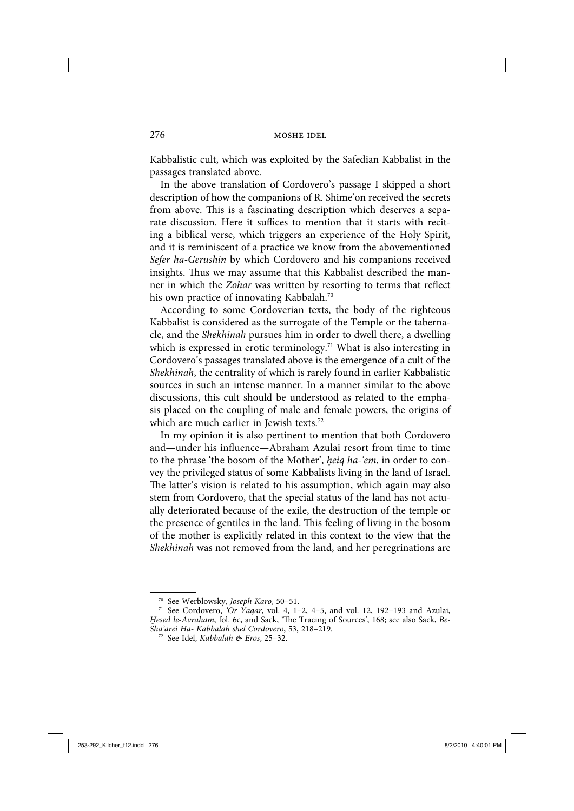Kabbalistic cult, which was exploited by the Safedian Kabbalist in the passages translated above.

In the above translation of Cordovero's passage I skipped a short description of how the companions of R. Shime'on received the secrets from above. This is a fascinating description which deserves a separate discussion. Here it suffices to mention that it starts with reciting a biblical verse, which triggers an experience of the Holy Spirit, and it is reminiscent of a practice we know from the abovementioned *Sefer ha-Gerushin* by which Cordovero and his companions received insights. Thus we may assume that this Kabbalist described the manner in which the *Zohar* was written by resorting to terms that reflect his own practice of innovating Kabbalah.<sup>70</sup>

According to some Cordoverian texts, the body of the righteous Kabbalist is considered as the surrogate of the Temple or the tabernacle, and the *Shekhinah* pursues him in order to dwell there, a dwelling which is expressed in erotic terminology.<sup>71</sup> What is also interesting in Cordovero's passages translated above is the emergence of a cult of the *Shekhinah*, the centrality of which is rarely found in earlier Kabbalistic sources in such an intense manner. In a manner similar to the above discussions, this cult should be understood as related to the emphasis placed on the coupling of male and female powers, the origins of which are much earlier in Jewish texts.<sup>72</sup>

In my opinion it is also pertinent to mention that both Cordovero and—under his influence—Abraham Azulai resort from time to time to the phrase 'the bosom of the Mother', *h̠eiq ha-'em*, in order to convey the privileged status of some Kabbalists living in the land of Israel. The latter's vision is related to his assumption, which again may also stem from Cordovero, that the special status of the land has not actually deteriorated because of the exile, the destruction of the temple or the presence of gentiles in the land. This feeling of living in the bosom of the mother is explicitly related in this context to the view that the *Shekhinah* was not removed from the land, and her peregrinations are

<sup>70</sup> See Werblowsky, *Joseph Karo*, 50–51. 71 See Cordovero, *'Or Yaqar*, vol. 4, 1–2, 4–5, and vol. 12, 192–193 and Azulai, *H̠esed le-Avraham*, fol. 6c, and Sack, 'The Tracing of Sources', 168; see also Sack, *Be-Sha'arei Ha- Kabbalah shel Cordovero*, 53, 218–219.

<sup>72</sup> See Idel, *Kabbalah & Eros*, 25–32.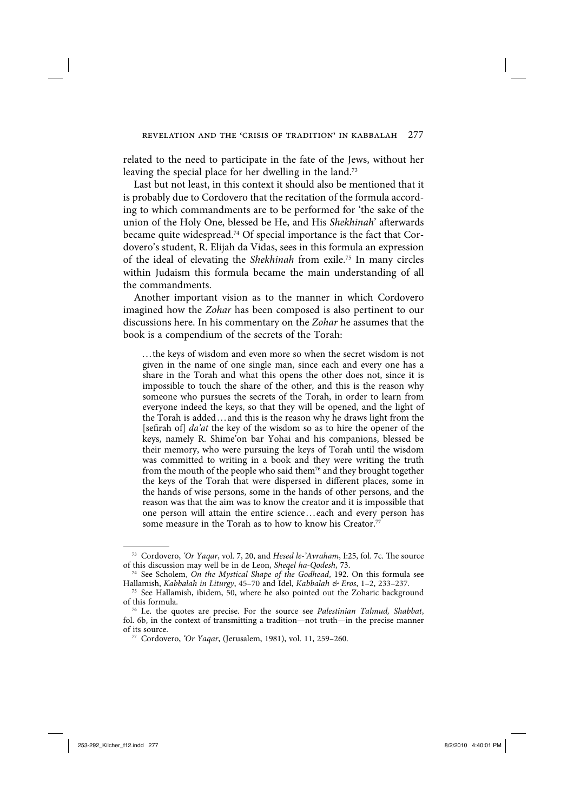related to the need to participate in the fate of the Jews, without her leaving the special place for her dwelling in the land.<sup>73</sup>

Last but not least, in this context it should also be mentioned that it is probably due to Cordovero that the recitation of the formula according to which commandments are to be performed for 'the sake of the union of the Holy One, blessed be He, and His *Shekhinah*' afterwards became quite widespread.74 Of special importance is the fact that Cordovero's student, R. Elijah da Vidas, sees in this formula an expression of the ideal of elevating the *Shekhinah* from exile.75 In many circles within Judaism this formula became the main understanding of all the commandments.

Another important vision as to the manner in which Cordovero imagined how the *Zohar* has been composed is also pertinent to our discussions here. In his commentary on the *Zohar* he assumes that the book is a compendium of the secrets of the Torah:

. . . the keys of wisdom and even more so when the secret wisdom is not given in the name of one single man, since each and every one has a share in the Torah and what this opens the other does not, since it is impossible to touch the share of the other, and this is the reason why someone who pursues the secrets of the Torah, in order to learn from everyone indeed the keys, so that they will be opened, and the light of the Torah is added...and this is the reason why he draws light from the [sefirah of] *da'at* the key of the wisdom so as to hire the opener of the keys, namely R. Shime'on bar Yohai and his companions, blessed be their memory, who were pursuing the keys of Torah until the wisdom was committed to writing in a book and they were writing the truth from the mouth of the people who said them76 and they brought together the keys of the Torah that were dispersed in different places, some in the hands of wise persons, some in the hands of other persons, and the reason was that the aim was to know the creator and it is impossible that one person will attain the entire science . . . each and every person has some measure in the Torah as to how to know his Creator.<sup>7</sup>

<sup>73</sup> Cordovero, *'Or Yaqar*, vol. 7, 20, and *Hesed le-'Avraham*, I:25, fol. 7c. The source

<sup>&</sup>lt;sup>74</sup> See Scholem, *On the Mystical Shape of the Godhead*, 192. On this formula see Hallamish, *Kabbalah in Liturgy*, 45–70 and Idel, *Kabbalah & Eros*, 1–2, 233–237.

<sup>&</sup>lt;sup>75</sup> See Hallamish, ibidem, 50, where he also pointed out the Zoharic background of this formula.

<sup>76</sup> I.e. the quotes are precise. For the source see *Palestinian Talmud, Shabbat*, fol. 6b, in the context of transmitting a tradition—not truth—in the precise manner of its source.

<sup>77</sup> Cordovero, *'Or Yaqar*, (Jerusalem, 1981), vol. 11, 259–260.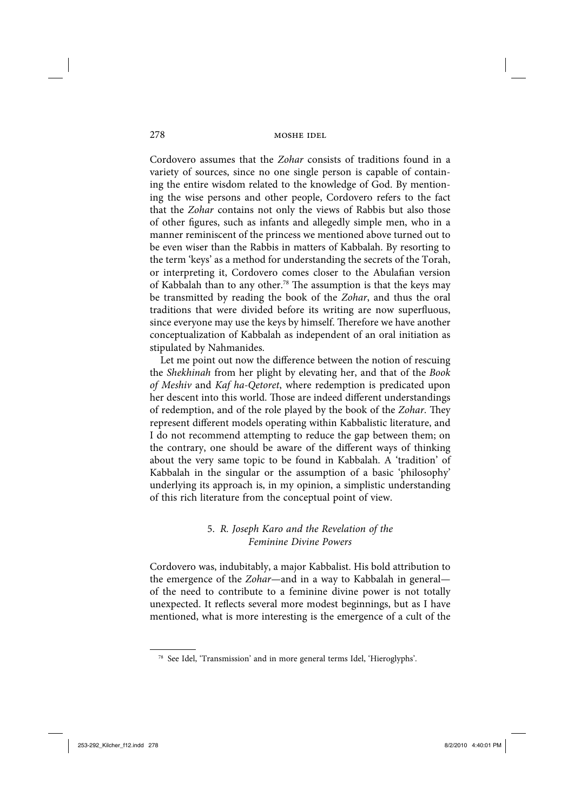# 278 mosh blues

Cordovero assumes that the *Zohar* consists of traditions found in a variety of sources, since no one single person is capable of containing the entire wisdom related to the knowledge of God. By mentioning the wise persons and other people, Cordovero refers to the fact that the *Zohar* contains not only the views of Rabbis but also those of other figures, such as infants and allegedly simple men, who in a manner reminiscent of the princess we mentioned above turned out to be even wiser than the Rabbis in matters of Kabbalah. By resorting to the term 'keys' as a method for understanding the secrets of the Torah, or interpreting it, Cordovero comes closer to the Abulafian version of Kabbalah than to any other.78 The assumption is that the keys may be transmitted by reading the book of the *Zohar*, and thus the oral traditions that were divided before its writing are now superfluous, since everyone may use the keys by himself. Therefore we have another conceptualization of Kabbalah as independent of an oral initiation as stipulated by Nahmanides.

Let me point out now the difference between the notion of rescuing the *Shekhinah* from her plight by elevating her, and that of the *Book of Meshiv* and *Kaf ha-Qetoret*, where redemption is predicated upon her descent into this world. Those are indeed different understandings of redemption, and of the role played by the book of the *Zohar*. They represent different models operating within Kabbalistic literature, and I do not recommend attempting to reduce the gap between them; on the contrary, one should be aware of the different ways of thinking about the very same topic to be found in Kabbalah. A 'tradition' of Kabbalah in the singular or the assumption of a basic 'philosophy' underlying its approach is, in my opinion, a simplistic understanding of this rich literature from the conceptual point of view.

# 5. *R. Joseph Karo and the Revelation of the Feminine Divine Powers*

Cordovero was, indubitably, a major Kabbalist. His bold attribution to the emergence of the *Zohar*—and in a way to Kabbalah in general of the need to contribute to a feminine divine power is not totally unexpected. It reflects several more modest beginnings, but as I have mentioned, what is more interesting is the emergence of a cult of the

<sup>78</sup> See Idel, 'Transmission' and in more general terms Idel, 'Hieroglyphs'.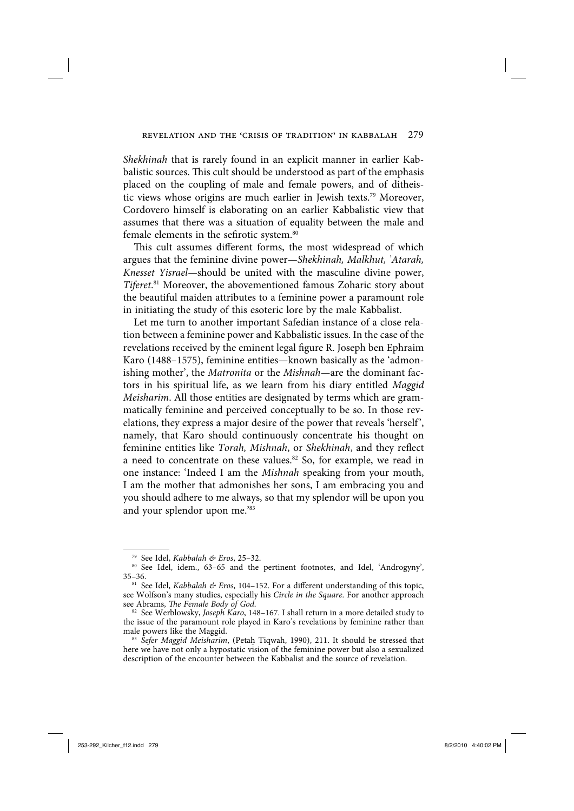*Shekhinah* that is rarely found in an explicit manner in earlier Kabbalistic sources. This cult should be understood as part of the emphasis placed on the coupling of male and female powers, and of ditheistic views whose origins are much earlier in Jewish texts.79 Moreover, Cordovero himself is elaborating on an earlier Kabbalistic view that assumes that there was a situation of equality between the male and female elements in the sefirotic system.<sup>80</sup>

This cult assumes different forms, the most widespread of which argues that the feminine divine power—*Shekhinah, Malkhut, ʾAtarah, Knesset Yisrael—*should be united with the masculine divine power, *Tiferet*. 81 Moreover, the abovementioned famous Zoharic story about the beautiful maiden attributes to a feminine power a paramount role in initiating the study of this esoteric lore by the male Kabbalist.

Let me turn to another important Safedian instance of a close relation between a feminine power and Kabbalistic issues. In the case of the revelations received by the eminent legal figure R. Joseph ben Ephraim Karo (1488–1575), feminine entities—known basically as the 'admonishing mother', the *Matronita* or the *Mishnah—*are the dominant factors in his spiritual life, as we learn from his diary entitled *Maggid Meisharim*. All those entities are designated by terms which are grammatically feminine and perceived conceptually to be so. In those revelations, they express a major desire of the power that reveals 'herself ', namely, that Karo should continuously concentrate his thought on feminine entities like *Torah, Mishnah*, or *Shekhinah*, and they reflect a need to concentrate on these values.<sup>82</sup> So, for example, we read in one instance: 'Indeed I am the *Mishnah* speaking from your mouth, I am the mother that admonishes her sons, I am embracing you and you should adhere to me always, so that my splendor will be upon you and your splendor upon me.'83

<sup>79</sup> See Idel, *Kabbalah & Eros*, 25–32.

<sup>80</sup> See Idel, idem., 63–65 and the pertinent footnotes, and Idel, 'Androgyny', 35–36.

<sup>81</sup> See Idel, *Kabbalah & Eros*, 104–152. For a different understanding of this topic, see Wolfson's many studies, especially his *Circle in the Square*. For another approach see Abrams, *The Female Body of God.* 82 See Werblowsky, *Joseph Karo*, 148–167. I shall return in a more detailed study to

the issue of the paramount role played in Karo's revelations by feminine rather than male powers like the Maggid.<br><sup>83</sup> *Sefer Maggid Meisharim*, (Petah Tiqwah, 1990), 211. It should be stressed that

here we have not only a hypostatic vision of the feminine power but also a sexualized description of the encounter between the Kabbalist and the source of revelation.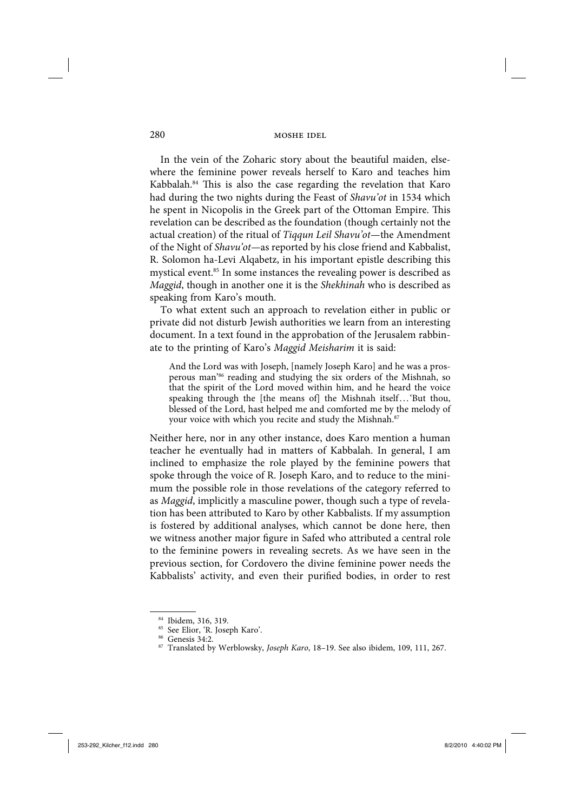In the vein of the Zoharic story about the beautiful maiden, elsewhere the feminine power reveals herself to Karo and teaches him Kabbalah.84 This is also the case regarding the revelation that Karo had during the two nights during the Feast of *Shavu'ot* in 1534 which he spent in Nicopolis in the Greek part of the Ottoman Empire. This revelation can be described as the foundation (though certainly not the actual creation) of the ritual of *Tiqqun Leil Shavu'ot*—the Amendment of the Night of *Shavu'ot—*as reported by his close friend and Kabbalist, R. Solomon ha-Levi Alqabetz, in his important epistle describing this mystical event.<sup>85</sup> In some instances the revealing power is described as *Maggid*, though in another one it is the *Shekhinah* who is described as speaking from Karo's mouth.

To what extent such an approach to revelation either in public or private did not disturb Jewish authorities we learn from an interesting document. In a text found in the approbation of the Jerusalem rabbinate to the printing of Karo's *Maggid Meisharim* it is said:

And the Lord was with Joseph, [namely Joseph Karo] and he was a prosperous man'86 reading and studying the six orders of the Mishnah, so that the spirit of the Lord moved within him, and he heard the voice speaking through the [the means of] the Mishnah itself... 'But thou, blessed of the Lord, hast helped me and comforted me by the melody of your voice with which you recite and study the Mishnah.<sup>87</sup>

Neither here, nor in any other instance, does Karo mention a human teacher he eventually had in matters of Kabbalah. In general, I am inclined to emphasize the role played by the feminine powers that spoke through the voice of R. Joseph Karo, and to reduce to the minimum the possible role in those revelations of the category referred to as *Maggid*, implicitly a masculine power, though such a type of revelation has been attributed to Karo by other Kabbalists. If my assumption is fostered by additional analyses, which cannot be done here, then we witness another major figure in Safed who attributed a central role to the feminine powers in revealing secrets. As we have seen in the previous section, for Cordovero the divine feminine power needs the Kabbalists' activity, and even their purified bodies, in order to rest

<sup>84</sup> Ibidem, 316, 319.

<sup>85</sup> See Elior, 'R. Joseph Karo'.

<sup>86</sup> Genesis 34:2.

<sup>87</sup> Translated by Werblowsky, *Joseph Karo*, 18–19. See also ibidem, 109, 111, 267.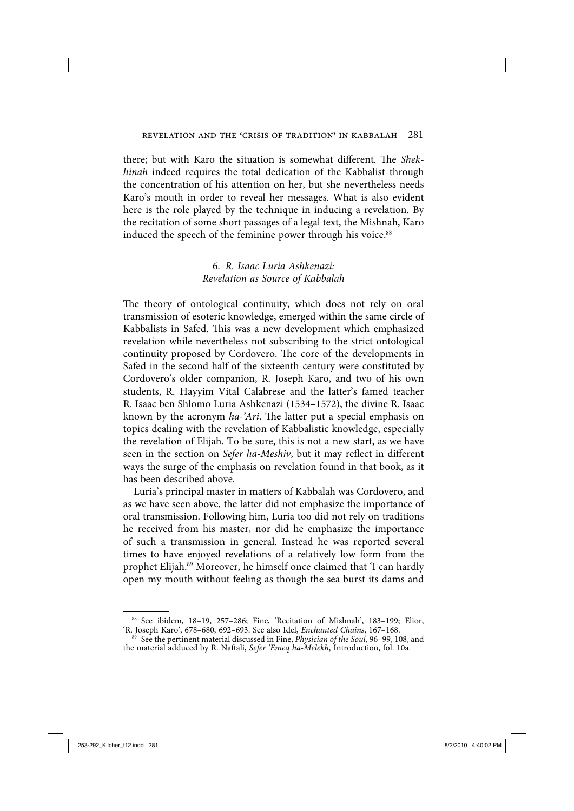#### revelation and the 'crisis of tradition' in kabbalah 281

there; but with Karo the situation is somewhat different. The *Shekhinah* indeed requires the total dedication of the Kabbalist through the concentration of his attention on her, but she nevertheless needs Karo's mouth in order to reveal her messages. What is also evident here is the role played by the technique in inducing a revelation. By the recitation of some short passages of a legal text, the Mishnah, Karo induced the speech of the feminine power through his voice.<sup>88</sup>

# 6. *R. Isaac Luria Ashkenazi: Revelation as Source of Kabbalah*

The theory of ontological continuity, which does not rely on oral transmission of esoteric knowledge, emerged within the same circle of Kabbalists in Safed. This was a new development which emphasized revelation while nevertheless not subscribing to the strict ontological continuity proposed by Cordovero. The core of the developments in Safed in the second half of the sixteenth century were constituted by Cordovero's older companion, R. Joseph Karo, and two of his own students, R. Hayyim Vital Calabrese and the latter's famed teacher R. Isaac ben Shlomo Luria Ashkenazi (1534–1572), the divine R. Isaac known by the acronym *ha-'Ari*. The latter put a special emphasis on topics dealing with the revelation of Kabbalistic knowledge, especially the revelation of Elijah. To be sure, this is not a new start, as we have seen in the section on *Sefer ha-Meshiv*, but it may reflect in different ways the surge of the emphasis on revelation found in that book, as it has been described above.

Luria's principal master in matters of Kabbalah was Cordovero, and as we have seen above, the latter did not emphasize the importance of oral transmission. Following him, Luria too did not rely on traditions he received from his master, nor did he emphasize the importance of such a transmission in general. Instead he was reported several times to have enjoyed revelations of a relatively low form from the prophet Elijah.<sup>89</sup> Moreover, he himself once claimed that 'I can hardly open my mouth without feeling as though the sea burst its dams and

253-292\_Kilcher\_f12.indd 281 53-292\_Kilcher\_f12.indd 8/2/2010 4:40:02 PM /2/2010

<sup>88</sup> See ibidem, 18–19, 257–286; Fine, 'Recitation of Mishnah', 183–199; Elior, 'R. Joseph Karo', 678–680, 692–693. See also Idel, *Enchanted Chains*, 167–168.

<sup>89</sup> See the pertinent material discussed in Fine, *Physician of the Soul*, 96–99, 108, and the material adduced by R. Naftali, *Sefer 'Emeq ha-Melekh*, Introduction, fol. 10a.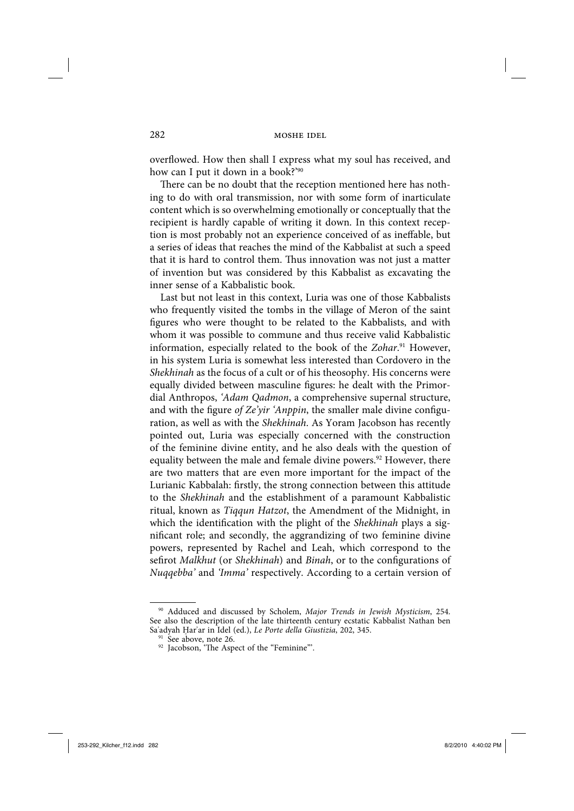# 282 MOSHE IDEL

overflowed. How then shall I express what my soul has received, and how can I put it down in a book?'90

There can be no doubt that the reception mentioned here has nothing to do with oral transmission, nor with some form of inarticulate content which is so overwhelming emotionally or conceptually that the recipient is hardly capable of writing it down. In this context reception is most probably not an experience conceived of as ineffable, but a series of ideas that reaches the mind of the Kabbalist at such a speed that it is hard to control them. Thus innovation was not just a matter of invention but was considered by this Kabbalist as excavating the inner sense of a Kabbalistic book.

Last but not least in this context, Luria was one of those Kabbalists who frequently visited the tombs in the village of Meron of the saint figures who were thought to be related to the Kabbalists, and with whom it was possible to commune and thus receive valid Kabbalistic information, especially related to the book of the *Zohar*. 91 However, in his system Luria is somewhat less interested than Cordovero in the *Shekhinah* as the focus of a cult or of his theosophy. His concerns were equally divided between masculine figures: he dealt with the Primordial Anthropos, *'Adam Qadmon*, a comprehensive supernal structure, and with the figure *of Ze'yir 'Anppin*, the smaller male divine configuration, as well as with the *Shekhinah*. As Yoram Jacobson has recently pointed out, Luria was especially concerned with the construction of the feminine divine entity, and he also deals with the question of equality between the male and female divine powers.<sup>92</sup> However, there are two matters that are even more important for the impact of the Lurianic Kabbalah: firstly, the strong connection between this attitude to the *Shekhinah* and the establishment of a paramount Kabbalistic ritual, known as *Tiqqun Hatzot*, the Amendment of the Midnight, in which the identification with the plight of the *Shekhinah* plays a significant role; and secondly, the aggrandizing of two feminine divine powers, represented by Rachel and Leah, which correspond to the sefirot *Malkhut* (or *Shekhinah*) and *Binah*, or to the configurations of *Nuqqebba'* and *'Imma'* respectively. According to a certain version of

<sup>90</sup> Adduced and discussed by Scholem, *Major Trends in Jewish Mysticism*, 254. See also the description of the late thirteenth century ecstatic Kabbalist Nathan ben Sa'adyah Har'ar in Idel (ed.), *Le Porte della Giustizia*, 202, 345.<br><sup>91</sup> See above, note 26.

<sup>&</sup>lt;sup>92</sup> Jacobson, 'The Aspect of the "Feminine"'.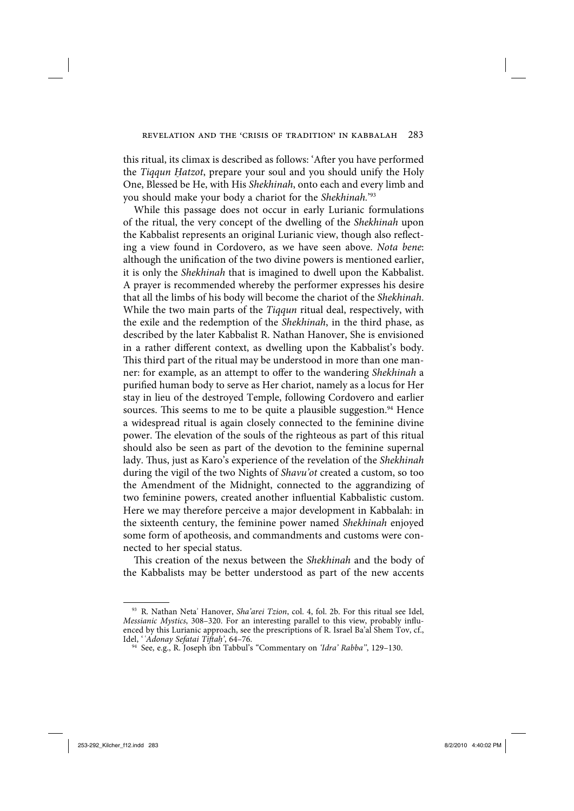this ritual, its climax is described as follows: 'After you have performed the *Tiqqun H̠atzot*, prepare your soul and you should unify the Holy One, Blessed be He, with His *Shekhinah*, onto each and every limb and you should make your body a chariot for the *Shekhinah.*' 93

While this passage does not occur in early Lurianic formulations of the ritual, the very concept of the dwelling of the *Shekhinah* upon the Kabbalist represents an original Lurianic view, though also reflecting a view found in Cordovero, as we have seen above. *Nota bene*: although the unification of the two divine powers is mentioned earlier, it is only the *Shekhinah* that is imagined to dwell upon the Kabbalist. A prayer is recommended whereby the performer expresses his desire that all the limbs of his body will become the chariot of the *Shekhinah*. While the two main parts of the *Tiqqun* ritual deal, respectively, with the exile and the redemption of the *Shekhinah*, in the third phase, as described by the later Kabbalist R. Nathan Hanover, She is envisioned in a rather different context, as dwelling upon the Kabbalist's body. This third part of the ritual may be understood in more than one manner: for example, as an attempt to offer to the wandering *Shekhinah* a purified human body to serve as Her chariot, namely as a locus for Her stay in lieu of the destroyed Temple, following Cordovero and earlier sources. This seems to me to be quite a plausible suggestion. $94$  Hence a widespread ritual is again closely connected to the feminine divine power. The elevation of the souls of the righteous as part of this ritual should also be seen as part of the devotion to the feminine supernal lady. Thus, just as Karo's experience of the revelation of the *Shekhinah* during the vigil of the two Nights of *Shavu'ot* created a custom, so too the Amendment of the Midnight, connected to the aggrandizing of two feminine powers, created another influential Kabbalistic custom. Here we may therefore perceive a major development in Kabbalah: in the sixteenth century, the feminine power named *Shekhinah* enjoyed some form of apotheosis, and commandments and customs were connected to her special status.

This creation of the nexus between the *Shekhinah* and the body of the Kabbalists may be better understood as part of the new accents

<sup>93</sup> R. Nathan Netaʾ Hanover, *Sha'arei Tzion*, col. 4, fol. 2b. For this ritual see Idel, *Messianic Mystics*, 308–320. For an interesting parallel to this view, probably influenced by this Lurianic approach, see the prescriptions of R. Israel Ba'al Shem Tov, cf.,

Idel, ' *ʿAdonay Sefatai Tiftah̠'*, 64–76. 94 See, e.g., R. Joseph ibn Tabbul's "Commentary on *'Idra' Rabba''*, 129–130.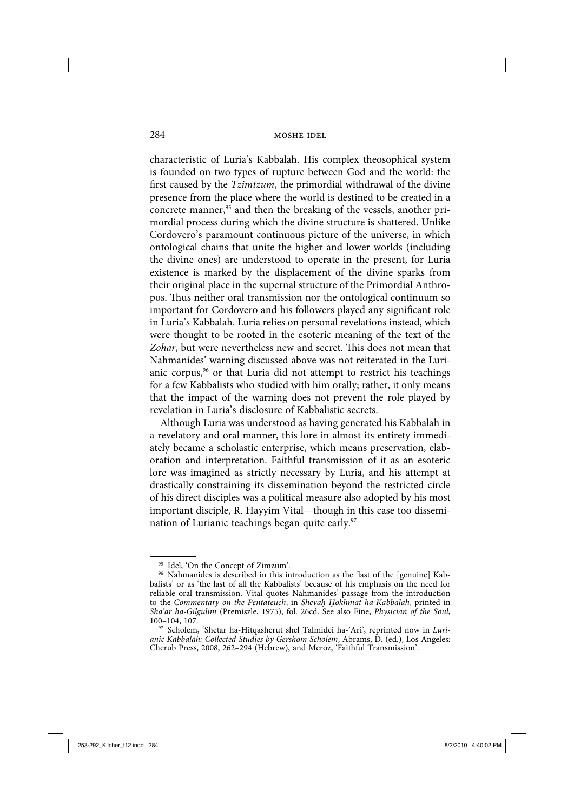characteristic of Luria's Kabbalah. His complex theosophical system is founded on two types of rupture between God and the world: the first caused by the *Tzimtzum*, the primordial withdrawal of the divine presence from the place where the world is destined to be created in a concrete manner,<sup>95</sup> and then the breaking of the vessels, another primordial process during which the divine structure is shattered. Unlike Cordovero's paramount continuous picture of the universe, in which ontological chains that unite the higher and lower worlds (including the divine ones) are understood to operate in the present, for Luria existence is marked by the displacement of the divine sparks from their original place in the supernal structure of the Primordial Anthropos. Thus neither oral transmission nor the ontological continuum so important for Cordovero and his followers played any significant role in Luria's Kabbalah. Luria relies on personal revelations instead, which were thought to be rooted in the esoteric meaning of the text of the *Zohar*, but were nevertheless new and secret. This does not mean that Nahmanides' warning discussed above was not reiterated in the Lurianic corpus,<sup>96</sup> or that Luria did not attempt to restrict his teachings for a few Kabbalists who studied with him orally; rather, it only means that the impact of the warning does not prevent the role played by revelation in Luria's disclosure of Kabbalistic secrets.

Although Luria was understood as having generated his Kabbalah in a revelatory and oral manner, this lore in almost its entirety immediately became a scholastic enterprise, which means preservation, elaboration and interpretation. Faithful transmission of it as an esoteric lore was imagined as strictly necessary by Luria, and his attempt at drastically constraining its dissemination beyond the restricted circle of his direct disciples was a political measure also adopted by his most important disciple, R. Hayyim Vital—though in this case too dissemination of Lurianic teachings began quite early.<sup>97</sup>

<sup>95</sup> Idel, 'On the Concept of Zimzum'.

<sup>96</sup> Nahmanides is described in this introduction as the 'last of the [genuine] Kabbalists' or as 'the last of all the Kabbalists' because of his emphasis on the need for reliable oral transmission. Vital quotes Nahmanides' passage from the introduction to the *Commentary on the Pentateuch*, in *Shevah̠ H̠okhmat ha-Kabbalah*, printed in *Sha'ar ha-Gilgulim* (Premiszle, 1975), fol. 26cd. See also Fine, *Physician of the Soul*, 100–104, 107. 97 Scholem, 'Shetar ha-Hitqasherut shel Talmidei ha-'Ari', reprinted now in *Luri-*

*anic Kabbalah: Collected Studies by Gershom Scholem*, Abrams, D. (ed.), Los Angeles: Cherub Press, 2008, 262–294 (Hebrew), and Meroz, 'Faithful Transmission'.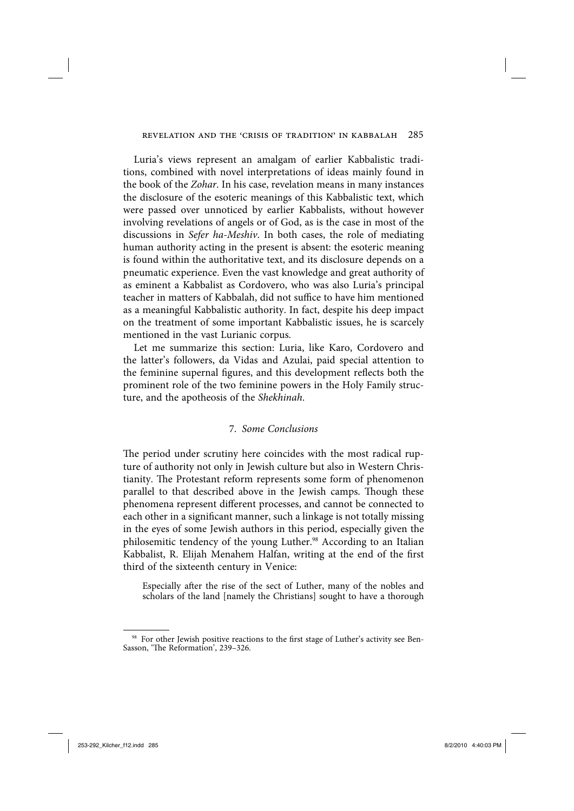Luria's views represent an amalgam of earlier Kabbalistic traditions, combined with novel interpretations of ideas mainly found in the book of the *Zohar*. In his case, revelation means in many instances the disclosure of the esoteric meanings of this Kabbalistic text, which were passed over unnoticed by earlier Kabbalists, without however involving revelations of angels or of God, as is the case in most of the discussions in *Sefer ha-Meshiv*. In both cases, the role of mediating human authority acting in the present is absent: the esoteric meaning is found within the authoritative text, and its disclosure depends on a pneumatic experience. Even the vast knowledge and great authority of as eminent a Kabbalist as Cordovero, who was also Luria's principal teacher in matters of Kabbalah, did not suffice to have him mentioned as a meaningful Kabbalistic authority. In fact, despite his deep impact on the treatment of some important Kabbalistic issues, he is scarcely mentioned in the vast Lurianic corpus.

Let me summarize this section: Luria, like Karo, Cordovero and the latter's followers, da Vidas and Azulai, paid special attention to the feminine supernal figures, and this development reflects both the prominent role of the two feminine powers in the Holy Family structure, and the apotheosis of the *Shekhinah*.

# 7. *Some Conclusions*

The period under scrutiny here coincides with the most radical rupture of authority not only in Jewish culture but also in Western Christianity. The Protestant reform represents some form of phenomenon parallel to that described above in the Jewish camps. Though these phenomena represent different processes, and cannot be connected to each other in a significant manner, such a linkage is not totally missing in the eyes of some Jewish authors in this period, especially given the philosemitic tendency of the young Luther.<sup>98</sup> According to an Italian Kabbalist, R. Elijah Menahem Halfan, writing at the end of the first third of the sixteenth century in Venice:

Especially after the rise of the sect of Luther, many of the nobles and scholars of the land [namely the Christians] sought to have a thorough

<sup>98</sup> For other Jewish positive reactions to the first stage of Luther's activity see Ben-Sasson, 'The Reformation', 239–326.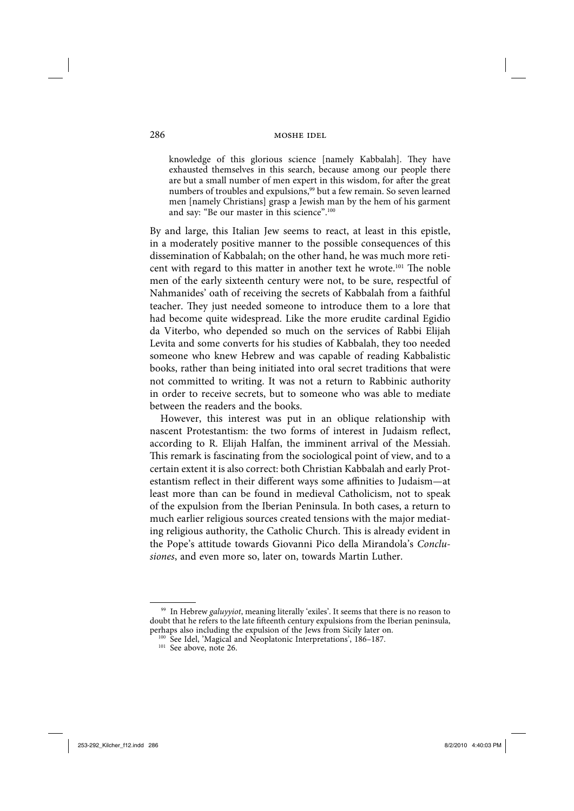knowledge of this glorious science [namely Kabbalah]. They have exhausted themselves in this search, because among our people there are but a small number of men expert in this wisdom, for after the great numbers of troubles and expulsions,<sup>99</sup> but a few remain. So seven learned men [namely Christians] grasp a Jewish man by the hem of his garment and say: "Be our master in this science".<sup>100</sup>

By and large, this Italian Jew seems to react, at least in this epistle, in a moderately positive manner to the possible consequences of this dissemination of Kabbalah; on the other hand, he was much more reticent with regard to this matter in another text he wrote.<sup>101</sup> The noble men of the early sixteenth century were not, to be sure, respectful of Nahmanides' oath of receiving the secrets of Kabbalah from a faithful teacher. They just needed someone to introduce them to a lore that had become quite widespread. Like the more erudite cardinal Egidio da Viterbo, who depended so much on the services of Rabbi Elijah Levita and some converts for his studies of Kabbalah, they too needed someone who knew Hebrew and was capable of reading Kabbalistic books, rather than being initiated into oral secret traditions that were not committed to writing. It was not a return to Rabbinic authority in order to receive secrets, but to someone who was able to mediate between the readers and the books.

However, this interest was put in an oblique relationship with nascent Protestantism: the two forms of interest in Judaism reflect, according to R. Elijah Halfan, the imminent arrival of the Messiah. This remark is fascinating from the sociological point of view, and to a certain extent it is also correct: both Christian Kabbalah and early Protestantism reflect in their different ways some affinities to Judaism—at least more than can be found in medieval Catholicism, not to speak of the expulsion from the Iberian Peninsula. In both cases, a return to much earlier religious sources created tensions with the major mediating religious authority, the Catholic Church. This is already evident in the Pope's attitude towards Giovanni Pico della Mirandola's *Conclusiones*, and even more so, later on, towards Martin Luther.

 <sup>99</sup> In Hebrew *galuyyiot*, meaning literally 'exiles'. It seems that there is no reason to doubt that he refers to the late fifteenth century expulsions from the Iberian peninsula, perhaps also including the expulsion of the Jews from Sicily later on.

<sup>&</sup>lt;sup>100</sup> See Idel, 'Magical and Neoplatonic Interpretations', 186–187. <sup>101</sup> See above, note 26.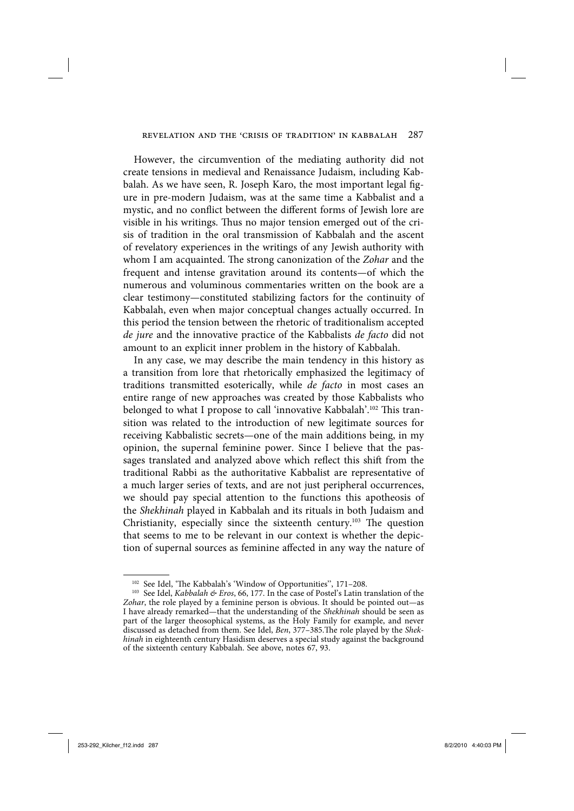#### revelation and the 'crisis of tradition' in kabbalah 287

However, the circumvention of the mediating authority did not create tensions in medieval and Renaissance Judaism, including Kabbalah. As we have seen, R. Joseph Karo, the most important legal figure in pre-modern Judaism, was at the same time a Kabbalist and a mystic, and no conflict between the different forms of Jewish lore are visible in his writings. Thus no major tension emerged out of the crisis of tradition in the oral transmission of Kabbalah and the ascent of revelatory experiences in the writings of any Jewish authority with whom I am acquainted. The strong canonization of the *Zohar* and the frequent and intense gravitation around its contents—of which the numerous and voluminous commentaries written on the book are a clear testimony—constituted stabilizing factors for the continuity of Kabbalah, even when major conceptual changes actually occurred. In this period the tension between the rhetoric of traditionalism accepted *de jure* and the innovative practice of the Kabbalists *de facto* did not amount to an explicit inner problem in the history of Kabbalah.

In any case, we may describe the main tendency in this history as a transition from lore that rhetorically emphasized the legitimacy of traditions transmitted esoterically, while *de facto* in most cases an entire range of new approaches was created by those Kabbalists who belonged to what I propose to call 'innovative Kabbalah'.<sup>102</sup> This transition was related to the introduction of new legitimate sources for receiving Kabbalistic secrets—one of the main additions being, in my opinion, the supernal feminine power. Since I believe that the passages translated and analyzed above which reflect this shift from the traditional Rabbi as the authoritative Kabbalist are representative of a much larger series of texts, and are not just peripheral occurrences, we should pay special attention to the functions this apotheosis of the *Shekhinah* played in Kabbalah and its rituals in both Judaism and Christianity, especially since the sixteenth century.103 The question that seems to me to be relevant in our context is whether the depiction of supernal sources as feminine affected in any way the nature of

<sup>&</sup>lt;sup>102</sup> See Idel, 'The Kabbalah's 'Window of Opportunities'', 171–208.<br><sup>103</sup> See Idel, *Kabbalah & Eros*, 66, 177. In the case of Postel's Latin translation of the *Zohar*, the role played by a feminine person is obvious. It should be pointed out—as I have already remarked—that the understanding of the *Shekhinah* should be seen as part of the larger theosophical systems, as the Holy Family for example, and never discussed as detached from them. See Idel, *Ben*, 377–385.The role played by the *Shekhinah* in eighteenth century Hasidism deserves a special study against the background of the sixteenth century Kabbalah. See above, notes 67, 93.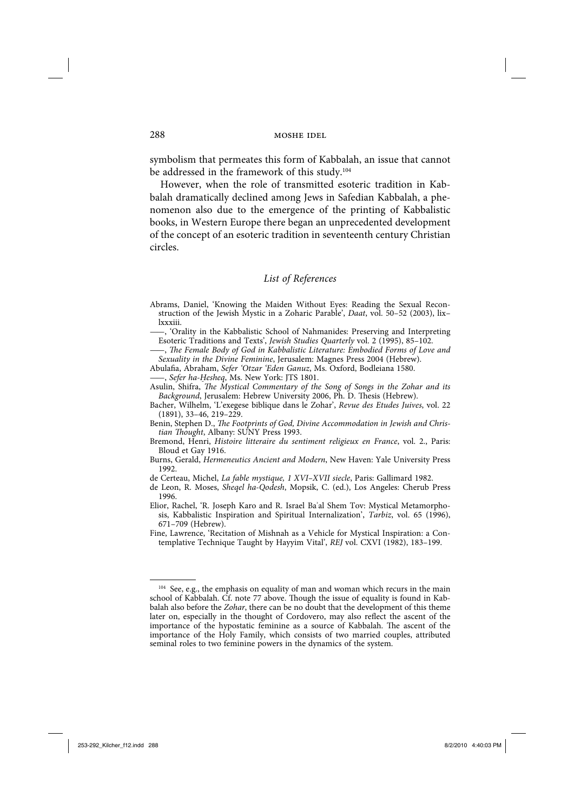symbolism that permeates this form of Kabbalah, an issue that cannot be addressed in the framework of this study.104

However, when the role of transmitted esoteric tradition in Kabbalah dramatically declined among Jews in Safedian Kabbalah, a phenomenon also due to the emergence of the printing of Kabbalistic books, in Western Europe there began an unprecedented development of the concept of an esoteric tradition in seventeenth century Christian circles.

# *List of References*

Abrams, Daniel, 'Knowing the Maiden Without Eyes: Reading the Sexual Reconstruction of the Jewish Mystic in a Zoharic Parable', *Daat*, vol. 50–52 (2003), lix– lxxxiii.

——, *The Female Body of God in Kabbalistic Literature: Embodied Forms of Love and Sexuality in the Divine Feminine*, Jerusalem: Magnes Press 2004 (Hebrew).

Abulafia, Abraham, *Sefer 'Otzar 'Eden Ganuz*, Ms. Oxford, Bodleiana 1580.

——, *Sefer ha-H̠esheq*, Ms. New York: JTS 1801.

Asulin, Shifra, *The Mystical Commentary of the Song of Songs in the Zohar and its Background*, Jerusalem: Hebrew University 2006, Ph. D. Thesis (Hebrew).

Bacher, Wilhelm, 'L'exegese biblique dans le Zohar', *Revue des Etudes Juives*, vol. 22 (1891), 33–46, 219–229.

Benin, Stephen D., *The Footprints of God, Divine Accommodation in Jewish and Christian Thought*, Albany: SUNY Press 1993.

- de Leon, R. Moses, *Sheqel ha-Qodesh*, Mopsik, C. (ed.), Los Angeles: Cherub Press 1996.
- Elior, Rachel, 'R. Joseph Karo and R. Israel Baʾal Shem Tov: Mystical Metamorphosis, Kabbalistic Inspiration and Spiritual Internalization', *Tarbiz*, vol. 65 (1996), 671–709 (Hebrew).
- Fine, Lawrence, 'Recitation of Mishnah as a Vehicle for Mystical Inspiration: a Contemplative Technique Taught by Hayyim Vital', *REJ* vol. CXVI (1982), 183–199.

<sup>&#</sup>x27;Orality in the Kabbalistic School of Nahmanides: Preserving and Interpreting Esoteric Traditions and Texts', *Jewish Studies Quarterly* vol. 2 (1995), 85–102.

Bremond, Henri, *Histoire litteraire du sentiment religieux en France*, vol. 2., Paris: Bloud et Gay 1916.

Burns, Gerald, *Hermeneutics Ancient and Modern*, New Haven: Yale University Press 1992.

de Certeau, Michel, *La fable mystique, 1 XVI–XVII siecle*, Paris: Gallimard 1982.

<sup>&</sup>lt;sup>104</sup> See, e.g., the emphasis on equality of man and woman which recurs in the main school of Kabbalah. Cf. note 77 above. Though the issue of equality is found in Kabbalah also before the *Zohar*, there can be no doubt that the development of this theme later on, especially in the thought of Cordovero, may also reflect the ascent of the importance of the hypostatic feminine as a source of Kabbalah. The ascent of the importance of the Holy Family, which consists of two married couples, attributed seminal roles to two feminine powers in the dynamics of the system.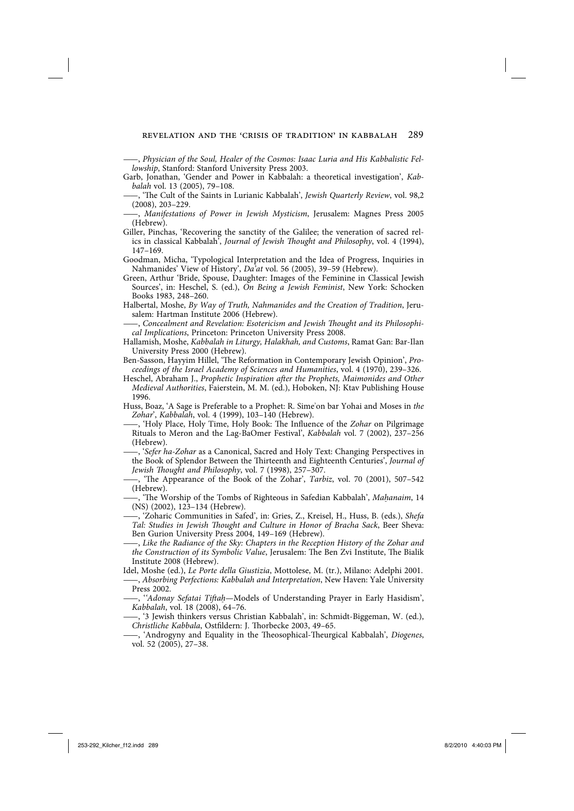——, *Physician of the Soul, Healer of the Cosmos: Isaac Luria and His Kabbalistic Fellowship*, Stanford: Stanford University Press 2003.

- Giller, Pinchas, 'Recovering the sanctity of the Galilee; the veneration of sacred relics in classical Kabbalah', *Journal of Jewish Thought and Philosophy*, vol. 4 (1994), 147–169.
- Goodman, Micha, 'Typological Interpretation and the Idea of Progress, Inquiries in Nahmanides' View of History', *Da'at* vol. 56 (2005), 39–59 (Hebrew).
- Green, Arthur 'Bride, Spouse, Daughter: Images of the Feminine in Classical Jewish Sources', in: Heschel, S. (ed.), *On Being a Jewish Feminist*, New York: Schocken Books 1983, 248–260.
- Halbertal, Moshe, *By Way of Truth, Nahmanides and the Creation of Tradition*, Jerusalem: Hartman Institute 2006 (Hebrew).

, Concealment and Revelation: Esotericism and Jewish Thought and its Philosophi*cal Implications*, Princeton: Princeton University Press 2008.

Hallamish, Moshe, *Kabbalah in Liturgy, Halakhah, and Customs*, Ramat Gan: Bar-Ilan University Press 2000 (Hebrew).

- Ben-Sasson, Hayyim Hillel, 'The Reformation in Contemporary Jewish Opinion', *Proceedings of the Israel Academy of Sciences and Humanities*, vol. 4 (1970), 239–326.
- Heschel, Abraham J., *Prophetic Inspiration after the Prophets, Maimonides and Other Medieval Authorities*, Faierstein, M. M. (ed.), Hoboken, NJ: Ktav Publishing House 1996.

Huss, Boaz, 'A Sage is Preferable to a Prophet: R. Simeʾon bar Yohai and Moses in *the Zohar*', *Kabbalah*, vol. 4 (1999), 103–140 (Hebrew).

——, 'Holy Place, Holy Time, Holy Book: The Influence of the *Zohar* on Pilgrimage Rituals to Meron and the Lag-BaOmer Festival', *Kabbalah* vol. 7 (2002), 237–256 (Hebrew).

*'Sefer ha-Zohar* as a Canonical, Sacred and Holy Text: Changing Perspectives in the Book of Splendor Between the Thirteenth and Eighteenth Centuries', *Journal of Jewish Thought and Philosophy*, vol. 7 (1998), 257–307.

——, 'The Appearance of the Book of the Zohar', *Tarbiz*, vol. 70 (2001), 507–542 (Hebrew).

——, 'The Worship of the Tombs of Righteous in Safedian Kabbalah', *Mah̠anaim*, 14 (NS) (2002), 123–134 (Hebrew).

——, 'Zoharic Communities in Safed', in: Gries, Z., Kreisel, H., Huss, B. (eds.), *Shefa Tal: Studies in Jewish Thought and Culture in Honor of Bracha Sack*, Beer Sheva: Ben Gurion University Press 2004, 149–169 (Hebrew).

——, *Like the Radiance of the Sky: Chapters in the Reception History of the Zohar and the Construction of its Symbolic Value*, Jerusalem: The Ben Zvi Institute, The Bialik Institute 2008 (Hebrew).

Idel, Moshe (ed.), *Le Porte della Giustizia*, Mottolese, M. (tr.), Milano: Adelphi 2001. ——, *Absorbing Perfections: Kabbalah and Interpretation*, New Haven: Yale University Press 2002.

——, '*'Adonay Sefatai Tiftah̠*—Models of Understanding Prayer in Early Hasidism', *Kabbalah*, vol. 18 (2008), 64–76.

——, '3 Jewish thinkers versus Christian Kabbalah', in: Schmidt-Biggeman, W. (ed.), *Christliche Kabbala*, Ostfildern: J. Thorbecke 2003, 49–65.

——, 'Androgyny and Equality in the Theosophical-Theurgical Kabbalah', *Diogenes*, vol. 52 (2005), 27-38.

Garb, Jonathan, 'Gender and Power in Kabbalah: a theoretical investigation', *Kabbalah* vol. 13 (2005), 79–108.

<sup>——, &#</sup>x27;The Cult of the Saints in Lurianic Kabbalah', *Jewish Quarterly Review*, vol. 98,2 (2008), 203–229.

<sup>——,</sup> *Manifestations of Power in Jewish Mysticism*, Jerusalem: Magnes Press 2005 (Hebrew).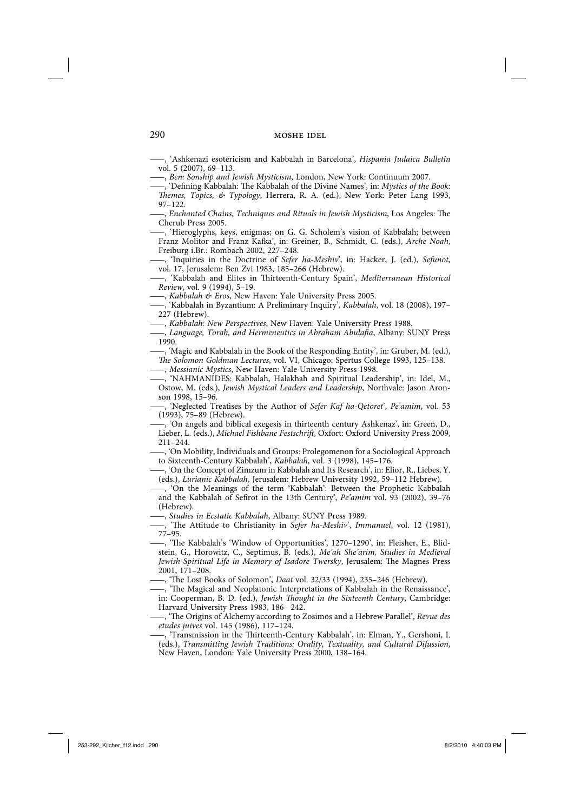——, 'Ashkenazi esotericism and Kabbalah in Barcelona', *Hispania Judaica Bulletin* vol. 5 (2007), 69–113.

——, *Ben: Sonship and Jewish Mysticism*, London, New York: Continuum 2007.

——, 'Defining Kabbalah: The Kabbalah of the Divine Names', in: *Mystics of the Book: Themes, Topics, & Typology*, Herrera, R. A. (ed.), New York: Peter Lang 1993, 97–122.

——, *Enchanted Chains*, *Techniques and Rituals in Jewish Mysticism*, Los Angeles: The Cherub Press 2005.

'Hieroglyphs, keys, enigmas; on G. G. Scholem's vision of Kabbalah; between Franz Molitor and Franz Kafka', in: Greiner, B., Schmidt, C. (eds.), *Arche Noah*, Freiburg i.Br.: Rombach 2002, 227–248.

——, 'Inquiries in the Doctrine of *Sefer ha-Meshiv*', in: Hacker, J. (ed.), *Sefunot*, vol. 17, Jerusalem: Ben Zvi 1983, 185–266 (Hebrew).

——, 'Kabbalah and Elites in Thirteenth-Century Spain', *Mediterranean Historical Review*, vol. 9 (1994), 5–19.

——, *Kabbalah & Eros*, New Haven: Yale University Press 2005.

——, 'Kabbalah in Byzantium: A Preliminary Inquiry', *Kabbalah*, vol. 18 (2008), 197– 227 (Hebrew).

——, *Kabbalah: New Perspectives*, New Haven: Yale University Press 1988.

——, *Language, Torah, and Hermeneutics in Abraham Abulafia*, Albany: SUNY Press 1990.

——, 'Magic and Kabbalah in the Book of the Responding Entity', in: Gruber, M. (ed.), *The Solomon Goldman Lectures*, vol. VI, Chicago: Spertus College 1993, 125–138. ——, *Messianic Mystics*, New Haven: Yale University Press 1998.

——, 'NAHMANIDES: Kabbalah, Halakhah and Spiritual Leadership', in: Idel, M., Ostow, M. (eds.), *Jewish Mystical Leaders and Leadership*, Northvale: Jason Aronson 1998, 15–96.

——, 'Neglected Treatises by the Author of *Sefer Kaf ha-Qetoret*', *Peʾamim*, vol. 53 (1993), 75–89 (Hebrew).

——, 'On angels and biblical exegesis in thirteenth century Ashkenaz', in: Green, D., Lieber, L. (eds.), *Michael Fishbane Festschrift*, Oxfort: Oxford University Press 2009, 211–244.

——, 'On Mobility, Individuals and Groups: Prolegomenon for a Sociological Approach to Sixteenth-Century Kabbalah', *Kabbalah*, vol. 3 (1998), 145–176.

——, 'On the Concept of Zimzum in Kabbalah and Its Research', in: Elior, R., Liebes, Y. (eds.), *Lurianic Kabbalah*, Jerusalem: Hebrew University 1992, 59–112 Hebrew).

'On the Meanings of the term 'Kabbalah': Between the Prophetic Kabbalah and the Kabbalah of Sefirot in the 13th Century', *Pe'amim* vol. 93 (2002), 39–76 (Hebrew).

Studies in Ecstatic Kabbalah, Albany: SUNY Press 1989.

——, 'The Attitude to Christianity in *Sefer ha-Meshiv*', *Immanuel*, vol. 12 (1981), 77–95.

——, 'The Kabbalah's 'Window of Opportunities', 1270–1290', in: Fleisher, E., Blidstein, G., Horowitz, C., Septimus, B. (eds.), *Me'ah She'arim, Studies in Medieval Jewish Spiritual Life in Memory of Isadore Twersky*, Jerusalem: The Magnes Press 2001, 171–208.

——, 'The Lost Books of Solomon', *Daat* vol. 32/33 (1994), 235–246 (Hebrew).

'The Magical and Neoplatonic Interpretations of Kabbalah in the Renaissance', in: Cooperman, B. D. (ed.), *Jewish Thought in the Sixteenth Century*, Cambridge: Harvard University Press 1983, 186– 242.

——, 'The Origins of Alchemy according to Zosimos and a Hebrew Parallel', *Revue des etudes juives* vol. 145 (1986), 117–124.

——, 'Transmission in the Thirteenth-Century Kabbalah', in: Elman, Y., Gershoni, I. (eds.), *Transmitting Jewish Traditions: Orality, Textuality, and Cultural Difussion*, New Haven, London: Yale University Press 2000, 138–164.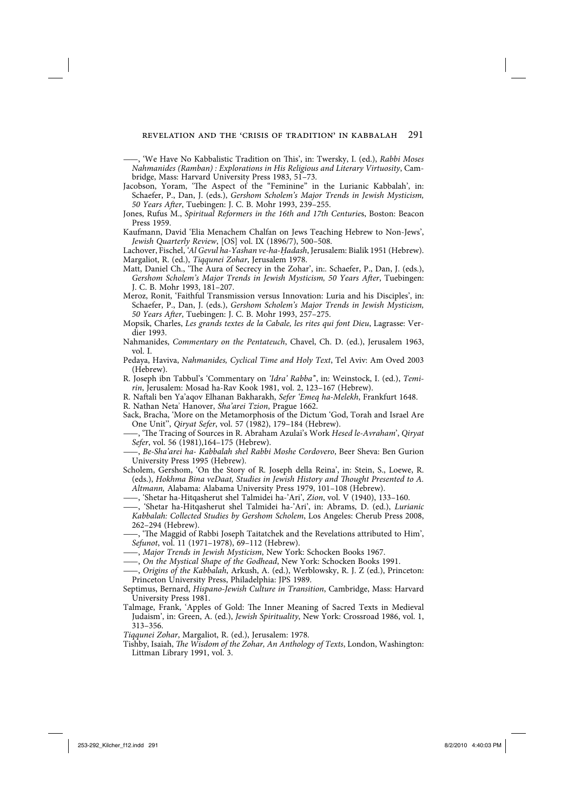——, 'We Have No Kabbalistic Tradition on This', in: Twersky, I. (ed.), *Rabbi Moses Nahmanides (Ramban) : Explorations in His Religious and Literary Virtuosity*, Cambridge, Mass: Harvard University Press 1983, 51–73.

- Jacobson, Yoram, 'The Aspect of the "Feminine" in the Lurianic Kabbalah', in: Schaefer, P., Dan, J. (eds.), *Gershom Scholem's Major Trends in Jewish Mysticism, 50 Years After*, Tuebingen: J. C. B. Mohr 1993, 239–255.
- Jones, Rufus M., *Spiritual Reformers in the 16th and 17th Centurie*s, Boston: Beacon Press 1959.

Kaufmann, David 'Elia Menachem Chalfan on Jews Teaching Hebrew to Non-Jews', *Jewish Quarterly Review*, [OS] vol. IX (1896/7), 500–508.

Lachover, Fischel, *'Al Gevul ha-Yashan ve-ha-H̠adash*, Jerusalem: Bialik 1951 (Hebrew). Margaliot, R. (ed.), *Tiqqunei Zohar*, Jerusalem 1978.

Matt, Daniel Ch., 'The Aura of Secrecy in the Zohar', in:. Schaefer, P., Dan, J. (eds.), *Gershom Scholem's Major Trends in Jewish Mysticism, 50 Years After*, Tuebingen: J. C. B. Mohr 1993, 181–207.

Meroz, Ronit, 'Faithful Transmission versus Innovation: Luria and his Disciples', in: Schaefer, P., Dan, J. (eds.), *Gershom Scholem's Major Trends in Jewish Mysticism, 50 Years After*, Tuebingen: J. C. B. Mohr 1993, 257–275.

- Mopsik, Charles, *Les grands textes de la Cabale, les rites qui font Dieu*, Lagrasse: Verdier 1993.
- Nahmanides, *Commentary on the Pentateuch*, Chavel, Ch. D. (ed.), Jerusalem 1963, vol. I.
- Pedaya, Haviva, *Nahmanides, Cyclical Time and Holy Text*, Tel Aviv: Am Oved 2003 (Hebrew).
- R. Joseph ibn Tabbul's 'Commentary on *'Idra' Rabba'*', in: Weinstock, I. (ed.), *Temirin*, Jerusalem: Mosad ha-Rav Kook 1981, vol. 2, 123–167 (Hebrew).
- R. Naftali ben Ya'aqov Elhanan Bakharakh, *Sefer 'Emeq ha-Melekh*, Frankfurt 1648. R. Nathan Netaʾ Hanover, *Sha'arei Tzion*, Prague 1662.
- Sack, Bracha, 'More on the Metamorphosis of the Dictum 'God, Torah and Israel Are One Unit'', *Qiryat Sefer*, vol. 57 (1982), 179–184 (Hebrew).
- ——, 'The Tracing of Sources in R. Abraham Azulai's Work *Hesed le-Avraham*', *Qiryat Sefer*, vol. 56 (1981),164–175 (Hebrew).
- ——, *Be-Sha'arei ha- Kabbalah shel Rabbi Moshe Cordovero*, Beer Sheva: Ben Gurion University Press 1995 (Hebrew).
- Scholem, Gershom, 'On the Story of R. Joseph della Reina', in: Stein, S., Loewe, R. (eds.), *Hokhma Bina veDaat, Studies in Jewish History and Thought Presented to A. Altmann,* Alabama: Alabama University Press 1979, 101–108 (Hebrew).
	- ——, 'Shetar ha-Hitqasherut shel Talmidei ha-'Ari', *Zion*, vol. V (1940), 133–160.
- ——, 'Shetar ha-Hitqasherut shel Talmidei ha-'Ari', in: Abrams, D. (ed.), *Lurianic Kabbalah: Collected Studies by Gershom Scholem*, Los Angeles: Cherub Press 2008, 262–294 (Hebrew).
- 'The Maggid of Rabbi Joseph Taitatchek and the Revelations attributed to Him', *Sefunot*, vol. 11 (1971–1978), 69–112 (Hebrew).
- ——, *Major Trends in Jewish Mysticism*, New York: Schocken Books 1967.
- ——, *On the Mystical Shape of the Godhead*, New York: Schocken Books 1991.
- ——, *Origins of the Kabbalah*, Arkush, A. (ed.), Werblowsky, R. J. Z (ed.), Princeton: Princeton University Press, Philadelphia: JPS 1989.

Septimus, Bernard, *Hispano-Jewish Culture in Transition*, Cambridge, Mass: Harvard University Press 1981.

- Talmage, Frank, 'Apples of Gold: The Inner Meaning of Sacred Texts in Medieval Judaism', in: Green, A. (ed.), *Jewish Spirituality*, New York: Crossroad 1986, vol. 1, 313–356.
- *Tiqqunei Zohar*, Margaliot, R. (ed.), Jerusalem: 1978.
- Tishby, Isaiah, *The Wisdom of the Zohar, An Anthology of Texts*, London, Washington: Littman Library 1991, vol. 3.